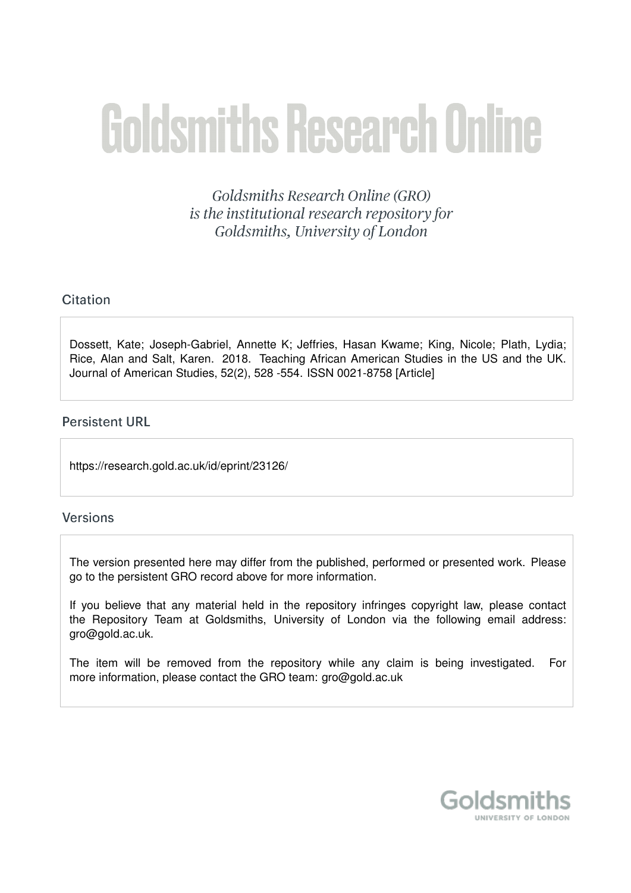# **Goldsmiths Research Online**

Goldsmiths Research Online (GRO) is the institutional research repository for Goldsmiths, University of London

## Citation

Dossett, Kate; Joseph-Gabriel, Annette K; Jeffries, Hasan Kwame; King, Nicole; Plath, Lydia; Rice, Alan and Salt, Karen. 2018. Teaching African American Studies in the US and the UK. Journal of American Studies, 52(2), 528 -554. ISSN 0021-8758 [Article]

### **Persistent URL**

https://research.gold.ac.uk/id/eprint/23126/

#### **Versions**

The version presented here may differ from the published, performed or presented work. Please go to the persistent GRO record above for more information.

If you believe that any material held in the repository infringes copyright law, please contact the Repository Team at Goldsmiths, University of London via the following email address: gro@gold.ac.uk.

The item will be removed from the repository while any claim is being investigated. For more information, please contact the GRO team: gro@gold.ac.uk

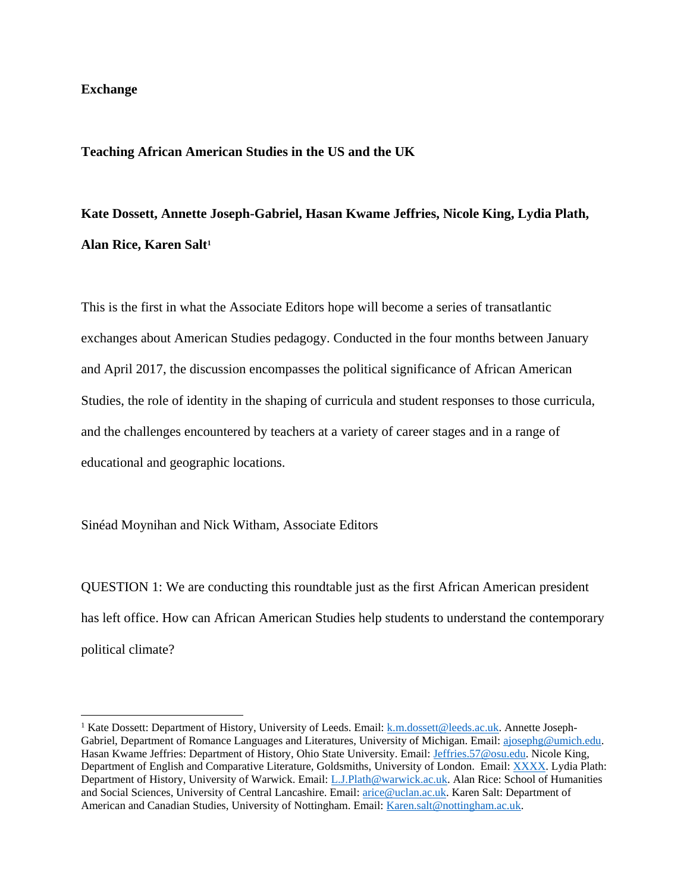#### **Exchange**

#### **Teaching African American Studies in the US and the UK**

# **Kate Dossett, Annette Joseph-Gabriel, Hasan Kwame Jeffries, Nicole King, Lydia Plath, Alan Rice, Karen Salt<sup>1</sup>**

This is the first in what the Associate Editors hope will become a series of transatlantic exchanges about American Studies pedagogy. Conducted in the four months between January and April 2017, the discussion encompasses the political significance of African American Studies, the role of identity in the shaping of curricula and student responses to those curricula, and the challenges encountered by teachers at a variety of career stages and in a range of educational and geographic locations.

Sinéad Moynihan and Nick Witham, Associate Editors

QUESTION 1: We are conducting this roundtable just as the first African American president has left office. How can African American Studies help students to understand the contemporary political climate?

<sup>&</sup>lt;sup>1</sup> Kate Dossett: Department of History, University of Leeds. Email: [k.m.dossett@leeds.ac.uk.](mailto:k.m.dossett@leeds.ac.uk) Annette Joseph-Gabriel, Department of Romance Languages and Literatures, University of Michigan. Email: [ajosephg@umich.edu.](mailto:ajosephg@umich.edu) Hasan Kwame Jeffries: Department of History, Ohio State University. Email[: Jeffries.57@osu.edu.](mailto:Jeffries.57@osu.edu) Nicole King, Department of English and Comparative Literature, Goldsmiths, University of London. Email[: XXXX.](mailto:n.king2@reading.ac.uk) Lydia Plath: Department of History, University of Warwick. Email: *L.J.Plath@warwick.ac.uk.* Alan Rice: School of Humanities and Social Sciences, University of Central Lancashire. Email: [arice@uclan.ac.uk.](mailto:arice@uclan.ac.uk) Karen Salt: Department of American and Canadian Studies, University of Nottingham. Email: Karen.salt@nottingham.ac.uk.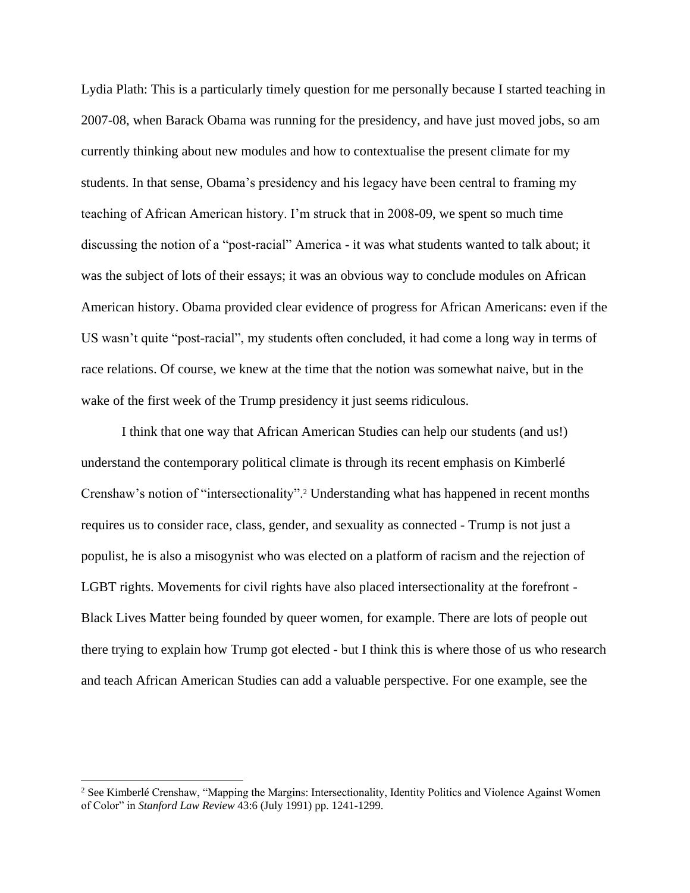Lydia Plath: This is a particularly timely question for me personally because I started teaching in 2007-08, when Barack Obama was running for the presidency, and have just moved jobs, so am currently thinking about new modules and how to contextualise the present climate for my students. In that sense, Obama's presidency and his legacy have been central to framing my teaching of African American history. I'm struck that in 2008-09, we spent so much time discussing the notion of a "post-racial" America - it was what students wanted to talk about; it was the subject of lots of their essays; it was an obvious way to conclude modules on African American history. Obama provided clear evidence of progress for African Americans: even if the US wasn't quite "post-racial", my students often concluded, it had come a long way in terms of race relations. Of course, we knew at the time that the notion was somewhat naive, but in the wake of the first week of the Trump presidency it just seems ridiculous.

I think that one way that African American Studies can help our students (and us!) understand the contemporary political climate is through its recent emphasis on Kimberlé Crenshaw's notion of "intersectionality".<sup>2</sup> Understanding what has happened in recent months requires us to consider race, class, gender, and sexuality as connected - Trump is not just a populist, he is also a misogynist who was elected on a platform of racism and the rejection of LGBT rights. Movements for civil rights have also placed intersectionality at the forefront - Black Lives Matter being founded by queer women, for example. There are lots of people out there trying to explain how Trump got elected - but I think this is where those of us who research and teach African American Studies can add a valuable perspective. For one example, see the

<sup>&</sup>lt;sup>2</sup> See Kimberlé Crenshaw, "Mapping the Margins: Intersectionality, Identity Politics and Violence Against Women of Color" in *Stanford Law Review* 43:6 (July 1991) pp. 1241-1299.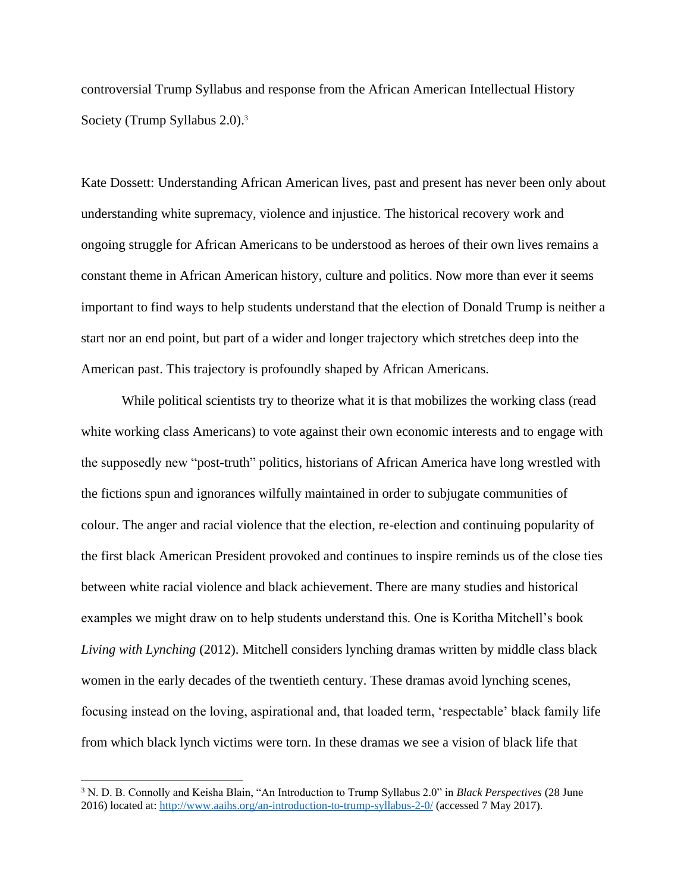controversial Trump Syllabus and response from the African American Intellectual History Society (Trump Syllabus 2.0).<sup>3</sup>

Kate Dossett: Understanding African American lives, past and present has never been only about understanding white supremacy, violence and injustice. The historical recovery work and ongoing struggle for African Americans to be understood as heroes of their own lives remains a constant theme in African American history, culture and politics. Now more than ever it seems important to find ways to help students understand that the election of Donald Trump is neither a start nor an end point, but part of a wider and longer trajectory which stretches deep into the American past. This trajectory is profoundly shaped by African Americans.

While political scientists try to theorize what it is that mobilizes the working class (read white working class Americans) to vote against their own economic interests and to engage with the supposedly new "post-truth" politics, historians of African America have long wrestled with the fictions spun and ignorances wilfully maintained in order to subjugate communities of colour. The anger and racial violence that the election, re-election and continuing popularity of the first black American President provoked and continues to inspire reminds us of the close ties between white racial violence and black achievement. There are many studies and historical examples we might draw on to help students understand this. One is Koritha Mitchell's book *Living with Lynching* (2012). Mitchell considers lynching dramas written by middle class black women in the early decades of the twentieth century. These dramas avoid lynching scenes, focusing instead on the loving, aspirational and, that loaded term, 'respectable' black family life from which black lynch victims were torn. In these dramas we see a vision of black life that

<sup>3</sup> N. D. B. Connolly and Keisha Blain, "An Introduction to Trump Syllabus 2.0" in *Black Perspectives* (28 June 2016) located at[: http://www.aaihs.org/an-introduction-to-trump-syllabus-2-0/](http://www.aaihs.org/an-introduction-to-trump-syllabus-2-0/) (accessed 7 May 2017).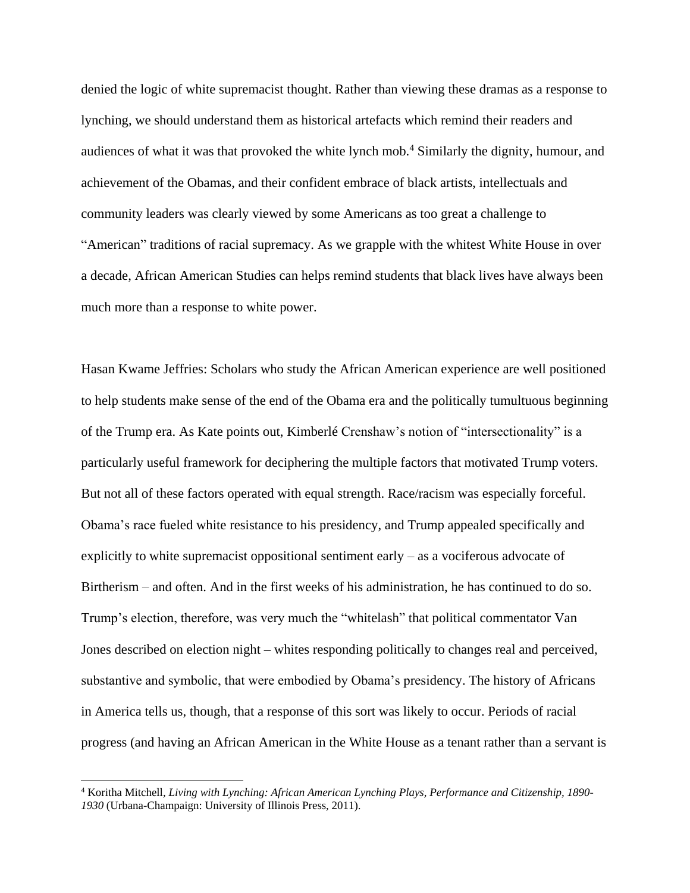denied the logic of white supremacist thought. Rather than viewing these dramas as a response to lynching, we should understand them as historical artefacts which remind their readers and audiences of what it was that provoked the white lynch mob.<sup>4</sup> Similarly the dignity, humour, and achievement of the Obamas, and their confident embrace of black artists, intellectuals and community leaders was clearly viewed by some Americans as too great a challenge to "American" traditions of racial supremacy. As we grapple with the whitest White House in over a decade, African American Studies can helps remind students that black lives have always been much more than a response to white power.

Hasan Kwame Jeffries: Scholars who study the African American experience are well positioned to help students make sense of the end of the Obama era and the politically tumultuous beginning of the Trump era. As Kate points out, Kimberlé Crenshaw's notion of "intersectionality" is a particularly useful framework for deciphering the multiple factors that motivated Trump voters. But not all of these factors operated with equal strength. Race/racism was especially forceful. Obama's race fueled white resistance to his presidency, and Trump appealed specifically and explicitly to white supremacist oppositional sentiment early – as a vociferous advocate of Birtherism – and often. And in the first weeks of his administration, he has continued to do so. Trump's election, therefore, was very much the "whitelash" that political commentator Van Jones described on election night – whites responding politically to changes real and perceived, substantive and symbolic, that were embodied by Obama's presidency. The history of Africans in America tells us, though, that a response of this sort was likely to occur. Periods of racial progress (and having an African American in the White House as a tenant rather than a servant is

<sup>4</sup> Koritha Mitchell, *Living with Lynching: African American Lynching Plays, Performance and Citizenship, 1890- 1930* (Urbana-Champaign: University of Illinois Press, 2011).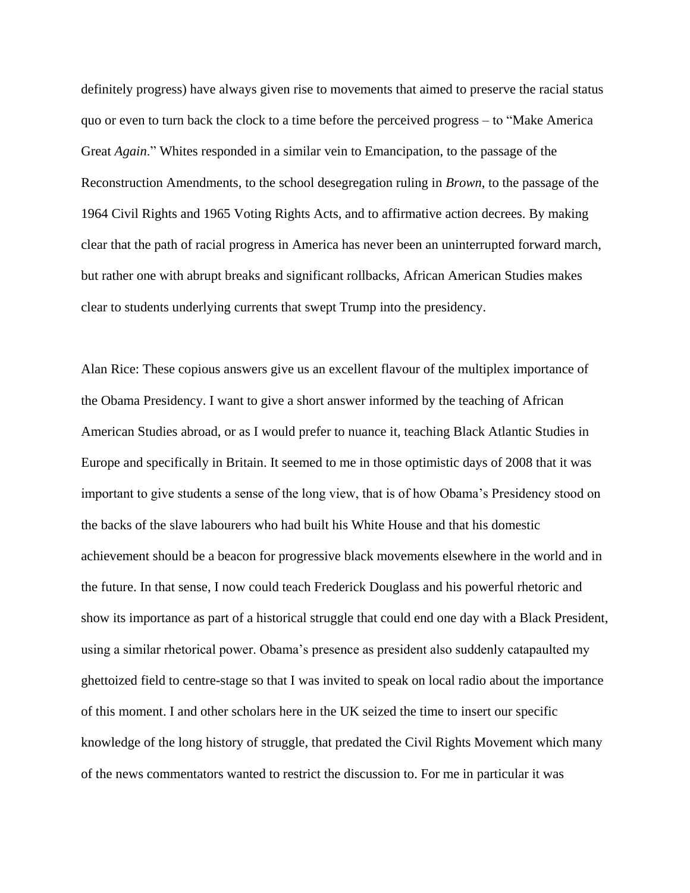definitely progress) have always given rise to movements that aimed to preserve the racial status quo or even to turn back the clock to a time before the perceived progress – to "Make America Great *Again*." Whites responded in a similar vein to Emancipation, to the passage of the Reconstruction Amendments, to the school desegregation ruling in *Brown*, to the passage of the 1964 Civil Rights and 1965 Voting Rights Acts, and to affirmative action decrees. By making clear that the path of racial progress in America has never been an uninterrupted forward march, but rather one with abrupt breaks and significant rollbacks, African American Studies makes clear to students underlying currents that swept Trump into the presidency.

Alan Rice: These copious answers give us an excellent flavour of the multiplex importance of the Obama Presidency. I want to give a short answer informed by the teaching of African American Studies abroad, or as I would prefer to nuance it, teaching Black Atlantic Studies in Europe and specifically in Britain. It seemed to me in those optimistic days of 2008 that it was important to give students a sense of the long view, that is of how Obama's Presidency stood on the backs of the slave labourers who had built his White House and that his domestic achievement should be a beacon for progressive black movements elsewhere in the world and in the future. In that sense, I now could teach Frederick Douglass and his powerful rhetoric and show its importance as part of a historical struggle that could end one day with a Black President, using a similar rhetorical power. Obama's presence as president also suddenly catapaulted my ghettoized field to centre-stage so that I was invited to speak on local radio about the importance of this moment. I and other scholars here in the UK seized the time to insert our specific knowledge of the long history of struggle, that predated the Civil Rights Movement which many of the news commentators wanted to restrict the discussion to. For me in particular it was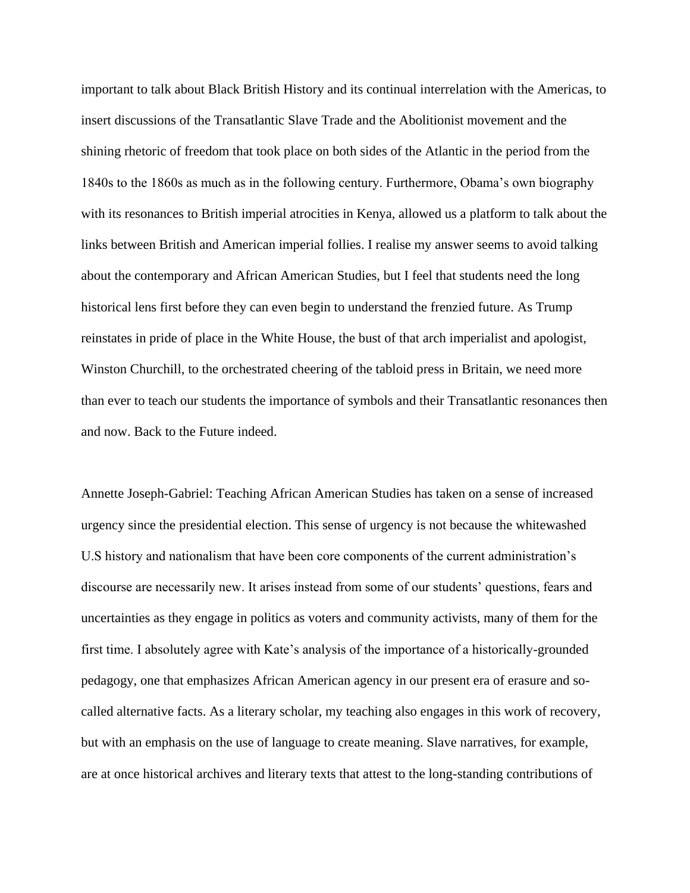important to talk about Black British History and its continual interrelation with the Americas, to insert discussions of the Transatlantic Slave Trade and the Abolitionist movement and the shining rhetoric of freedom that took place on both sides of the Atlantic in the period from the 1840s to the 1860s as much as in the following century. Furthermore, Obama's own biography with its resonances to British imperial atrocities in Kenya, allowed us a platform to talk about the links between British and American imperial follies. I realise my answer seems to avoid talking about the contemporary and African American Studies, but I feel that students need the long historical lens first before they can even begin to understand the frenzied future. As Trump reinstates in pride of place in the White House, the bust of that arch imperialist and apologist, Winston Churchill, to the orchestrated cheering of the tabloid press in Britain, we need more than ever to teach our students the importance of symbols and their Transatlantic resonances then and now. Back to the Future indeed.

Annette Joseph-Gabriel: Teaching African American Studies has taken on a sense of increased urgency since the presidential election. This sense of urgency is not because the whitewashed U.S history and nationalism that have been core components of the current administration's discourse are necessarily new. It arises instead from some of our students' questions, fears and uncertainties as they engage in politics as voters and community activists, many of them for the first time. I absolutely agree with Kate's analysis of the importance of a historically-grounded pedagogy, one that emphasizes African American agency in our present era of erasure and socalled alternative facts. As a literary scholar, my teaching also engages in this work of recovery, but with an emphasis on the use of language to create meaning. Slave narratives, for example, are at once historical archives and literary texts that attest to the long-standing contributions of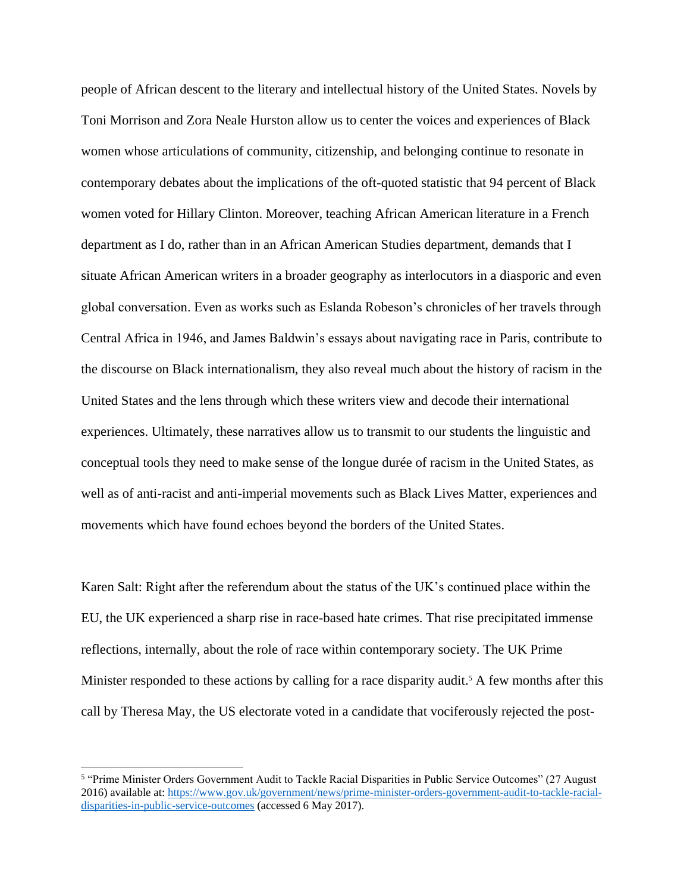people of African descent to the literary and intellectual history of the United States. Novels by Toni Morrison and Zora Neale Hurston allow us to center the voices and experiences of Black women whose articulations of community, citizenship, and belonging continue to resonate in contemporary debates about the implications of the oft-quoted statistic that 94 percent of Black women voted for Hillary Clinton. Moreover, teaching African American literature in a French department as I do, rather than in an African American Studies department, demands that I situate African American writers in a broader geography as interlocutors in a diasporic and even global conversation. Even as works such as Eslanda Robeson's chronicles of her travels through Central Africa in 1946, and James Baldwin's essays about navigating race in Paris, contribute to the discourse on Black internationalism, they also reveal much about the history of racism in the United States and the lens through which these writers view and decode their international experiences. Ultimately, these narratives allow us to transmit to our students the linguistic and conceptual tools they need to make sense of the longue durée of racism in the United States, as well as of anti-racist and anti-imperial movements such as Black Lives Matter, experiences and movements which have found echoes beyond the borders of the United States.

Karen Salt: Right after the referendum about the status of the UK's continued place within the EU, the UK experienced a sharp rise in race-based hate crimes. That rise precipitated immense reflections, internally, about the role of race within contemporary society. The UK Prime Minister responded to these actions by calling for a race disparity audit.<sup>5</sup> A few months after this call by Theresa May, the US electorate voted in a candidate that vociferously rejected the post-

 $\overline{a}$ 

<sup>&</sup>lt;sup>5</sup> "Prime Minister Orders Government Audit to Tackle Racial Disparities in Public Service Outcomes" (27 August 2016) available at: [https://www.gov.uk/government/news/prime-minister-orders-government-audit-to-tackle-racial](https://www.gov.uk/government/news/prime-minister-orders-government-audit-to-tackle-racial-disparities-in-public-service-outcomes)[disparities-in-public-service-outcomes](https://www.gov.uk/government/news/prime-minister-orders-government-audit-to-tackle-racial-disparities-in-public-service-outcomes) (accessed 6 May 2017).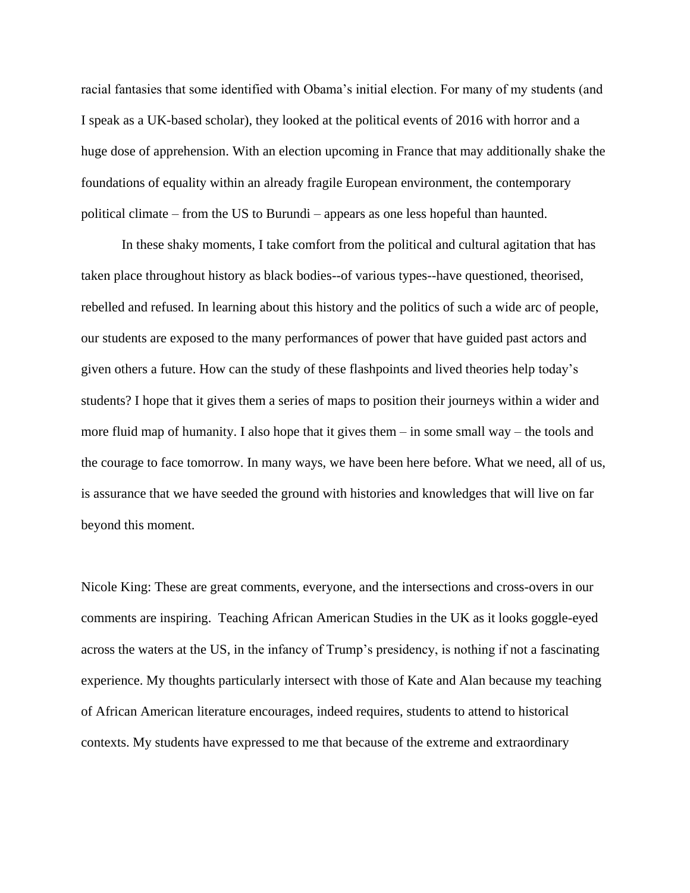racial fantasies that some identified with Obama's initial election. For many of my students (and I speak as a UK-based scholar), they looked at the political events of 2016 with horror and a huge dose of apprehension. With an election upcoming in France that may additionally shake the foundations of equality within an already fragile European environment, the contemporary political climate – from the US to Burundi – appears as one less hopeful than haunted.

In these shaky moments, I take comfort from the political and cultural agitation that has taken place throughout history as black bodies--of various types--have questioned, theorised, rebelled and refused. In learning about this history and the politics of such a wide arc of people, our students are exposed to the many performances of power that have guided past actors and given others a future. How can the study of these flashpoints and lived theories help today's students? I hope that it gives them a series of maps to position their journeys within a wider and more fluid map of humanity. I also hope that it gives them – in some small way – the tools and the courage to face tomorrow. In many ways, we have been here before. What we need, all of us, is assurance that we have seeded the ground with histories and knowledges that will live on far beyond this moment.

Nicole King: These are great comments, everyone, and the intersections and cross-overs in our comments are inspiring. Teaching African American Studies in the UK as it looks goggle-eyed across the waters at the US, in the infancy of Trump's presidency, is nothing if not a fascinating experience. My thoughts particularly intersect with those of Kate and Alan because my teaching of African American literature encourages, indeed requires, students to attend to historical contexts. My students have expressed to me that because of the extreme and extraordinary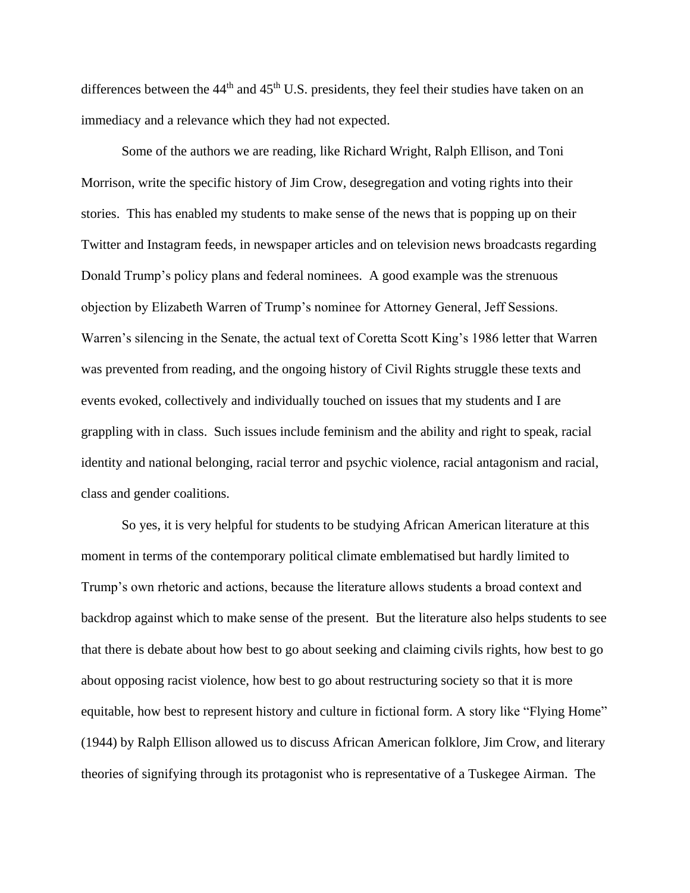differences between the  $44<sup>th</sup>$  and  $45<sup>th</sup>$  U.S. presidents, they feel their studies have taken on an immediacy and a relevance which they had not expected.

Some of the authors we are reading, like Richard Wright, Ralph Ellison, and Toni Morrison, write the specific history of Jim Crow, desegregation and voting rights into their stories. This has enabled my students to make sense of the news that is popping up on their Twitter and Instagram feeds, in newspaper articles and on television news broadcasts regarding Donald Trump's policy plans and federal nominees. A good example was the strenuous objection by Elizabeth Warren of Trump's nominee for Attorney General, Jeff Sessions. Warren's silencing in the Senate, the actual text of Coretta Scott King's 1986 letter that Warren was prevented from reading, and the ongoing history of Civil Rights struggle these texts and events evoked, collectively and individually touched on issues that my students and I are grappling with in class. Such issues include feminism and the ability and right to speak, racial identity and national belonging, racial terror and psychic violence, racial antagonism and racial, class and gender coalitions.

So yes, it is very helpful for students to be studying African American literature at this moment in terms of the contemporary political climate emblematised but hardly limited to Trump's own rhetoric and actions, because the literature allows students a broad context and backdrop against which to make sense of the present. But the literature also helps students to see that there is debate about how best to go about seeking and claiming civils rights, how best to go about opposing racist violence, how best to go about restructuring society so that it is more equitable, how best to represent history and culture in fictional form. A story like "Flying Home" (1944) by Ralph Ellison allowed us to discuss African American folklore, Jim Crow, and literary theories of signifying through its protagonist who is representative of a Tuskegee Airman. The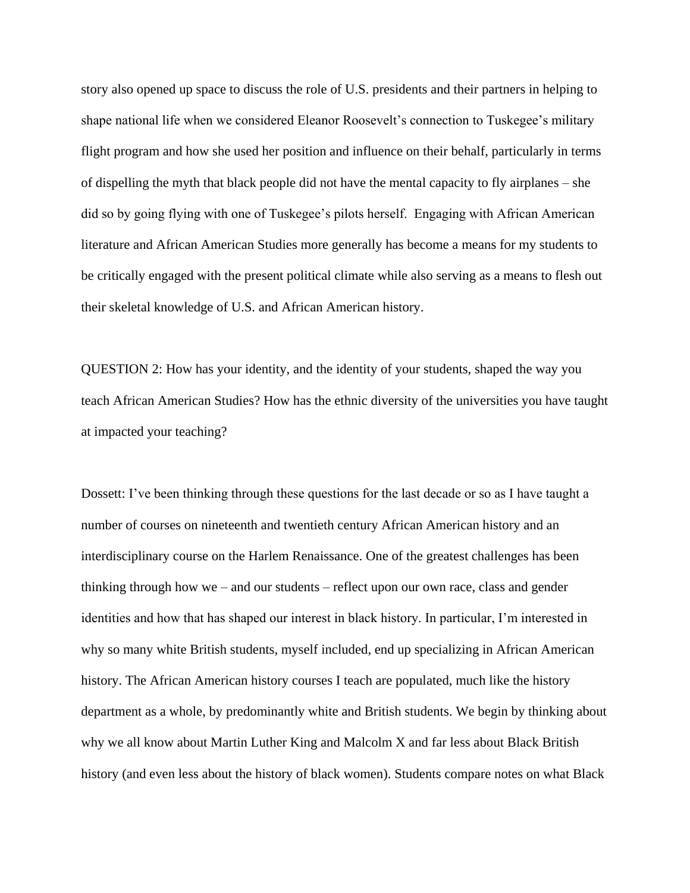story also opened up space to discuss the role of U.S. presidents and their partners in helping to shape national life when we considered Eleanor Roosevelt's connection to Tuskegee's military flight program and how she used her position and influence on their behalf, particularly in terms of dispelling the myth that black people did not have the mental capacity to fly airplanes – she did so by going flying with one of Tuskegee's pilots herself. Engaging with African American literature and African American Studies more generally has become a means for my students to be critically engaged with the present political climate while also serving as a means to flesh out their skeletal knowledge of U.S. and African American history.

QUESTION 2: How has your identity, and the identity of your students, shaped the way you teach African American Studies? How has the ethnic diversity of the universities you have taught at impacted your teaching?

Dossett: I've been thinking through these questions for the last decade or so as I have taught a number of courses on nineteenth and twentieth century African American history and an interdisciplinary course on the Harlem Renaissance. One of the greatest challenges has been thinking through how we – and our students – reflect upon our own race, class and gender identities and how that has shaped our interest in black history. In particular, I'm interested in why so many white British students, myself included, end up specializing in African American history. The African American history courses I teach are populated, much like the history department as a whole, by predominantly white and British students. We begin by thinking about why we all know about Martin Luther King and Malcolm X and far less about Black British history (and even less about the history of black women). Students compare notes on what Black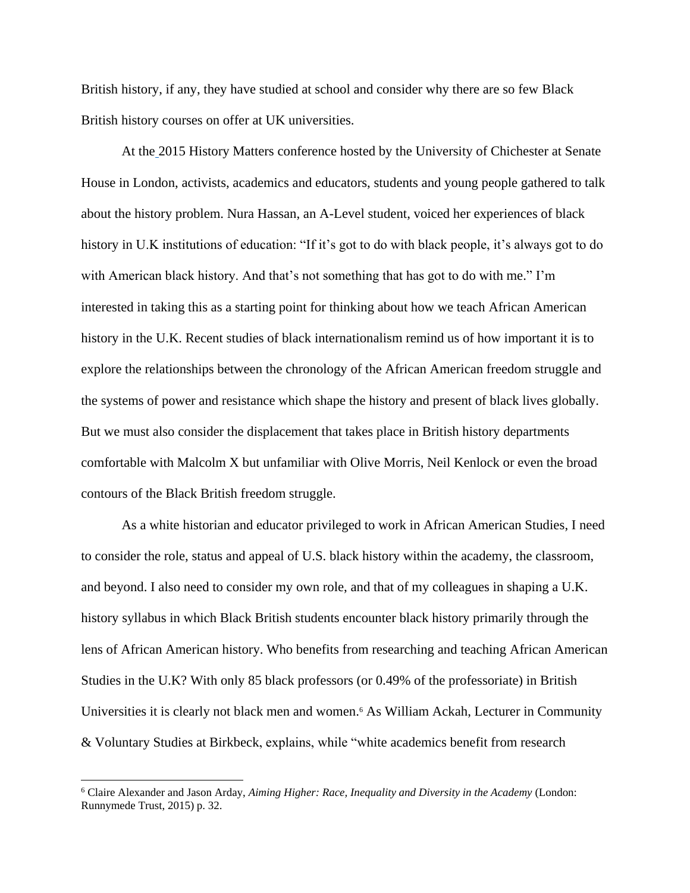British history, if any, they have studied at school and consider why there are so few Black British history courses on offer at UK universities.

At th[e](http://royalhistsoc.org/history-matters-conference/) 2015 History Matters conference hosted by the University of Chichester at Senate House in London, activists, academics and educators, students and young people gathered to talk about the history problem. Nura Hassan, an A-Level student, voiced her experiences of black history in U.K institutions of education: "If it's got to do with black people, it's always got to do with American black history. And that's not something that has got to do with me." I'm interested in taking this as a starting point for thinking about how we teach African American history in the U.K. Recent studies of black internationalism remind us of how important it is to explore the relationships between the chronology of the African American freedom struggle and the systems of power and resistance which shape the history and present of black lives globally. But we must also consider the displacement that takes place in British history departments comfortable with Malcolm X but unfamiliar with Olive Morris, Neil Kenlock or even the broad contours of the Black British freedom struggle.

As a white historian and educator privileged to work in African American Studies, I need to consider the role, status and appeal of U.S. black history within the academy, the classroom, and beyond. I also need to consider my own role, and that of my colleagues in shaping a U.K. history syllabus in which Black British students encounter black history primarily through the lens of African American history. Who benefits from researching and teaching African American Studies in the U.K? With only 85 black professors (or 0.49% of the professoriate) in British Universities it is clearly not black men and women.<sup>6</sup> As William Ackah, Lecturer in Community & Voluntary Studies at Birkbeck, explains, while "white academics benefit from research

<sup>6</sup> Claire Alexander and Jason Arday, *Aiming Higher: Race, Inequality and Diversity in the Academy* (London: Runnymede Trust, 2015) p. 32.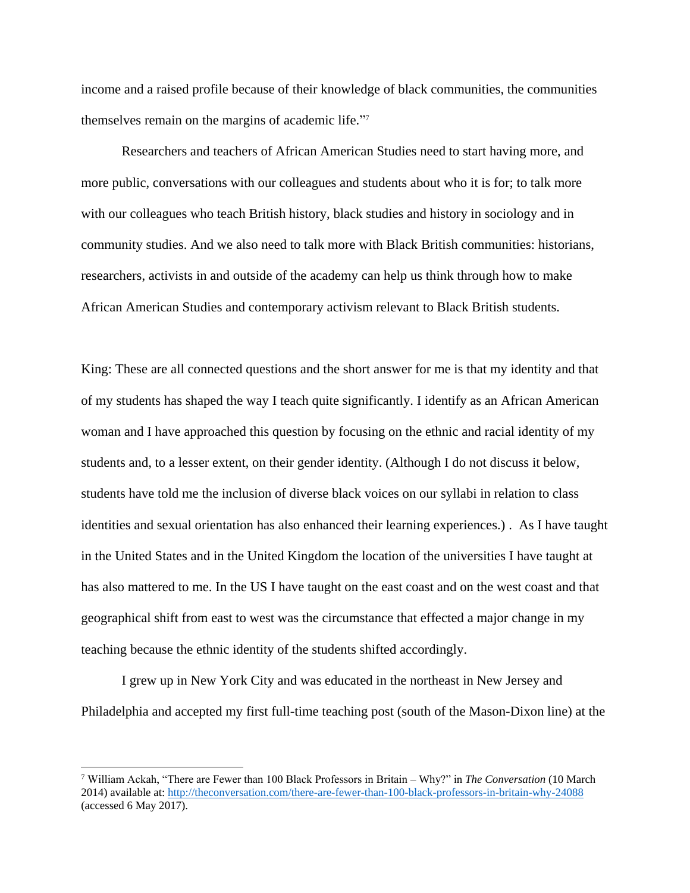income and a raised profile because of their knowledge of black communities, the communities themselves remain on the margins of academic life." 7

Researchers and teachers of African American Studies need to start having more, and more public, conversations with our colleagues and students about who it is for; to talk more with our colleagues who teach British history, black studies and history in sociology and in community studies. And we also need to talk more with Black British communities: historians, researchers, activists in and outside of the academy can help us think through how to make African American Studies and contemporary activism relevant to Black British students.

King: These are all connected questions and the short answer for me is that my identity and that of my students has shaped the way I teach quite significantly. I identify as an African American woman and I have approached this question by focusing on the ethnic and racial identity of my students and, to a lesser extent, on their gender identity. (Although I do not discuss it below, students have told me the inclusion of diverse black voices on our syllabi in relation to class identities and sexual orientation has also enhanced their learning experiences.) . As I have taught in the United States and in the United Kingdom the location of the universities I have taught at has also mattered to me. In the US I have taught on the east coast and on the west coast and that geographical shift from east to west was the circumstance that effected a major change in my teaching because the ethnic identity of the students shifted accordingly.

I grew up in New York City and was educated in the northeast in New Jersey and Philadelphia and accepted my first full-time teaching post (south of the Mason-Dixon line) at the

 $\overline{a}$ 

<sup>7</sup> William Ackah, "There are Fewer than 100 Black Professors in Britain – Why?" in *The Conversation* (10 March 2014) available at:<http://theconversation.com/there-are-fewer-than-100-black-professors-in-britain-why-24088> (accessed 6 May 2017).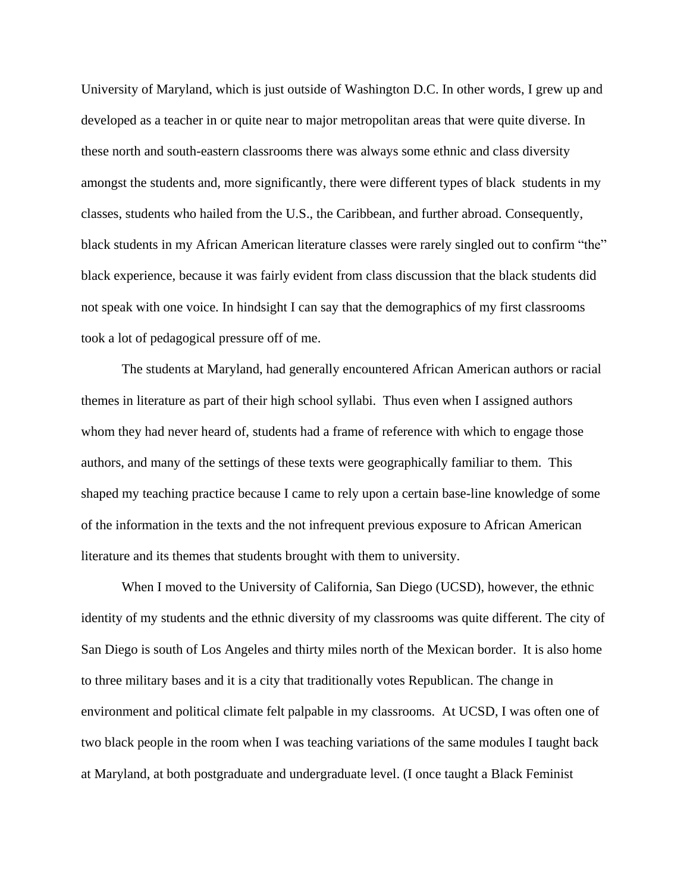University of Maryland, which is just outside of Washington D.C. In other words, I grew up and developed as a teacher in or quite near to major metropolitan areas that were quite diverse. In these north and south-eastern classrooms there was always some ethnic and class diversity amongst the students and, more significantly, there were different types of black students in my classes, students who hailed from the U.S., the Caribbean, and further abroad. Consequently, black students in my African American literature classes were rarely singled out to confirm "the" black experience, because it was fairly evident from class discussion that the black students did not speak with one voice. In hindsight I can say that the demographics of my first classrooms took a lot of pedagogical pressure off of me.

The students at Maryland, had generally encountered African American authors or racial themes in literature as part of their high school syllabi. Thus even when I assigned authors whom they had never heard of, students had a frame of reference with which to engage those authors, and many of the settings of these texts were geographically familiar to them. This shaped my teaching practice because I came to rely upon a certain base-line knowledge of some of the information in the texts and the not infrequent previous exposure to African American literature and its themes that students brought with them to university.

When I moved to the University of California, San Diego (UCSD), however, the ethnic identity of my students and the ethnic diversity of my classrooms was quite different. The city of San Diego is south of Los Angeles and thirty miles north of the Mexican border. It is also home to three military bases and it is a city that traditionally votes Republican. The change in environment and political climate felt palpable in my classrooms. At UCSD, I was often one of two black people in the room when I was teaching variations of the same modules I taught back at Maryland, at both postgraduate and undergraduate level. (I once taught a Black Feminist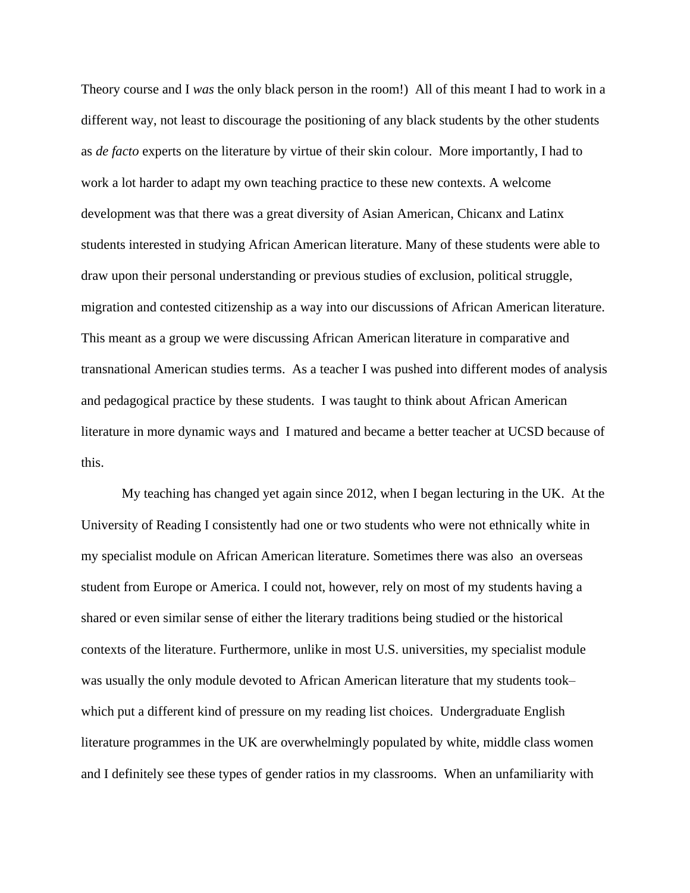Theory course and I *was* the only black person in the room!) All of this meant I had to work in a different way, not least to discourage the positioning of any black students by the other students as *de facto* experts on the literature by virtue of their skin colour. More importantly, I had to work a lot harder to adapt my own teaching practice to these new contexts. A welcome development was that there was a great diversity of Asian American, Chicanx and Latinx students interested in studying African American literature. Many of these students were able to draw upon their personal understanding or previous studies of exclusion, political struggle, migration and contested citizenship as a way into our discussions of African American literature. This meant as a group we were discussing African American literature in comparative and transnational American studies terms. As a teacher I was pushed into different modes of analysis and pedagogical practice by these students. I was taught to think about African American literature in more dynamic ways and I matured and became a better teacher at UCSD because of this.

My teaching has changed yet again since 2012, when I began lecturing in the UK. At the University of Reading I consistently had one or two students who were not ethnically white in my specialist module on African American literature. Sometimes there was also an overseas student from Europe or America. I could not, however, rely on most of my students having a shared or even similar sense of either the literary traditions being studied or the historical contexts of the literature. Furthermore, unlike in most U.S. universities, my specialist module was usually the only module devoted to African American literature that my students took– which put a different kind of pressure on my reading list choices. Undergraduate English literature programmes in the UK are overwhelmingly populated by white, middle class women and I definitely see these types of gender ratios in my classrooms. When an unfamiliarity with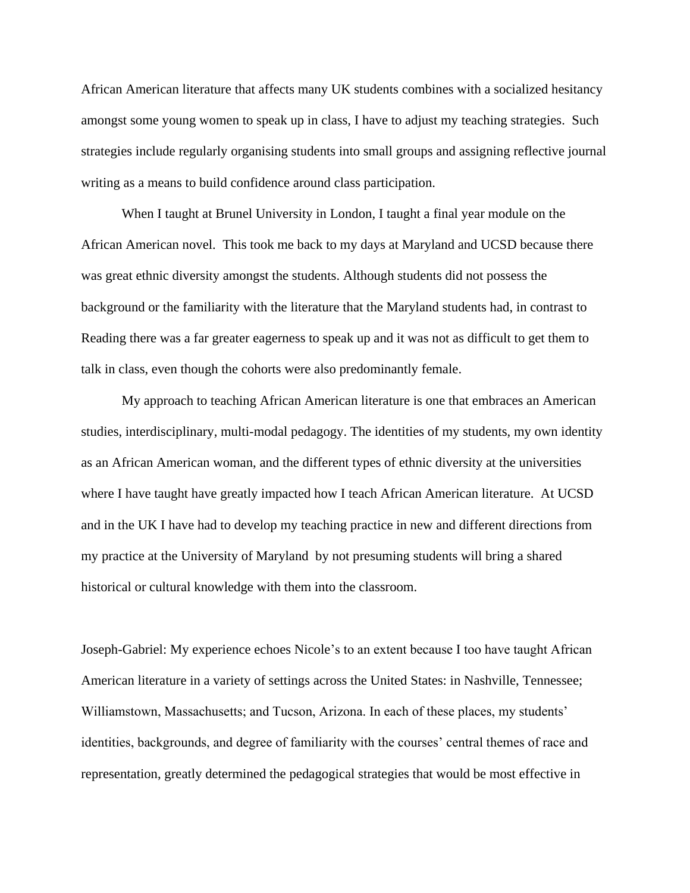African American literature that affects many UK students combines with a socialized hesitancy amongst some young women to speak up in class, I have to adjust my teaching strategies. Such strategies include regularly organising students into small groups and assigning reflective journal writing as a means to build confidence around class participation.

When I taught at Brunel University in London, I taught a final year module on the African American novel. This took me back to my days at Maryland and UCSD because there was great ethnic diversity amongst the students. Although students did not possess the background or the familiarity with the literature that the Maryland students had, in contrast to Reading there was a far greater eagerness to speak up and it was not as difficult to get them to talk in class, even though the cohorts were also predominantly female.

My approach to teaching African American literature is one that embraces an American studies, interdisciplinary, multi-modal pedagogy. The identities of my students, my own identity as an African American woman, and the different types of ethnic diversity at the universities where I have taught have greatly impacted how I teach African American literature. At UCSD and in the UK I have had to develop my teaching practice in new and different directions from my practice at the University of Maryland by not presuming students will bring a shared historical or cultural knowledge with them into the classroom.

Joseph-Gabriel: My experience echoes Nicole's to an extent because I too have taught African American literature in a variety of settings across the United States: in Nashville, Tennessee; Williamstown, Massachusetts; and Tucson, Arizona. In each of these places, my students' identities, backgrounds, and degree of familiarity with the courses' central themes of race and representation, greatly determined the pedagogical strategies that would be most effective in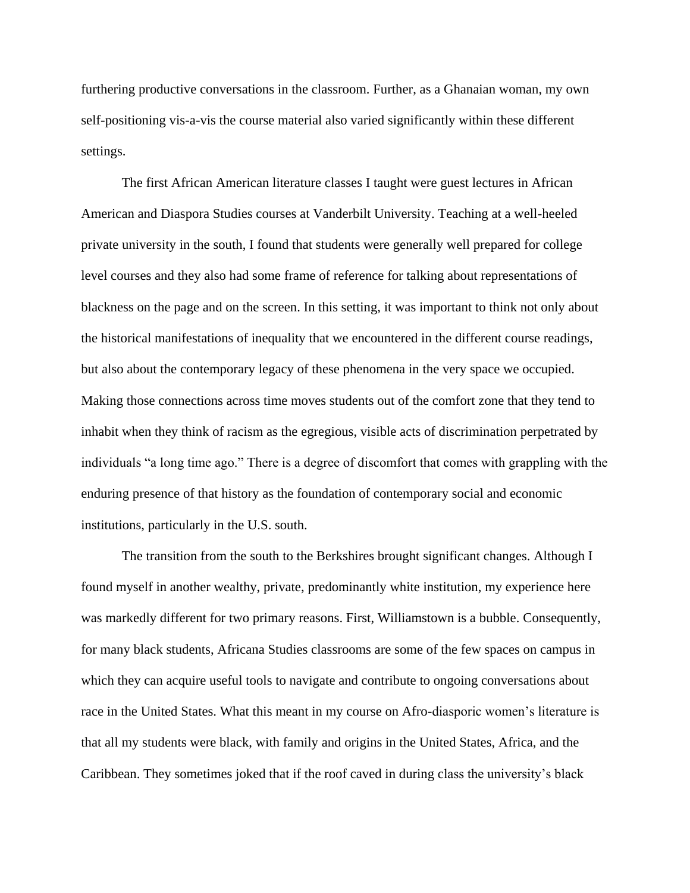furthering productive conversations in the classroom. Further, as a Ghanaian woman, my own self-positioning vis-a-vis the course material also varied significantly within these different settings.

The first African American literature classes I taught were guest lectures in African American and Diaspora Studies courses at Vanderbilt University. Teaching at a well-heeled private university in the south, I found that students were generally well prepared for college level courses and they also had some frame of reference for talking about representations of blackness on the page and on the screen. In this setting, it was important to think not only about the historical manifestations of inequality that we encountered in the different course readings, but also about the contemporary legacy of these phenomena in the very space we occupied. Making those connections across time moves students out of the comfort zone that they tend to inhabit when they think of racism as the egregious, visible acts of discrimination perpetrated by individuals "a long time ago." There is a degree of discomfort that comes with grappling with the enduring presence of that history as the foundation of contemporary social and economic institutions, particularly in the U.S. south.

The transition from the south to the Berkshires brought significant changes. Although I found myself in another wealthy, private, predominantly white institution, my experience here was markedly different for two primary reasons. First, Williamstown is a bubble. Consequently, for many black students, Africana Studies classrooms are some of the few spaces on campus in which they can acquire useful tools to navigate and contribute to ongoing conversations about race in the United States. What this meant in my course on Afro-diasporic women's literature is that all my students were black, with family and origins in the United States, Africa, and the Caribbean. They sometimes joked that if the roof caved in during class the university's black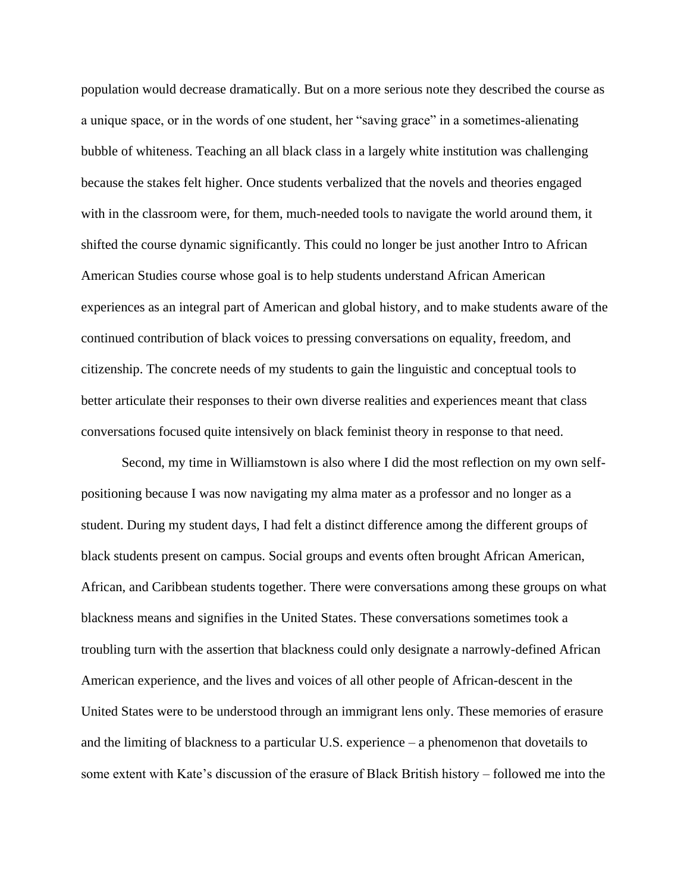population would decrease dramatically. But on a more serious note they described the course as a unique space, or in the words of one student, her "saving grace" in a sometimes-alienating bubble of whiteness. Teaching an all black class in a largely white institution was challenging because the stakes felt higher. Once students verbalized that the novels and theories engaged with in the classroom were, for them, much-needed tools to navigate the world around them, it shifted the course dynamic significantly. This could no longer be just another Intro to African American Studies course whose goal is to help students understand African American experiences as an integral part of American and global history, and to make students aware of the continued contribution of black voices to pressing conversations on equality, freedom, and citizenship. The concrete needs of my students to gain the linguistic and conceptual tools to better articulate their responses to their own diverse realities and experiences meant that class conversations focused quite intensively on black feminist theory in response to that need.

Second, my time in Williamstown is also where I did the most reflection on my own selfpositioning because I was now navigating my alma mater as a professor and no longer as a student. During my student days, I had felt a distinct difference among the different groups of black students present on campus. Social groups and events often brought African American, African, and Caribbean students together. There were conversations among these groups on what blackness means and signifies in the United States. These conversations sometimes took a troubling turn with the assertion that blackness could only designate a narrowly-defined African American experience, and the lives and voices of all other people of African-descent in the United States were to be understood through an immigrant lens only. These memories of erasure and the limiting of blackness to a particular U.S. experience – a phenomenon that dovetails to some extent with Kate's discussion of the erasure of Black British history – followed me into the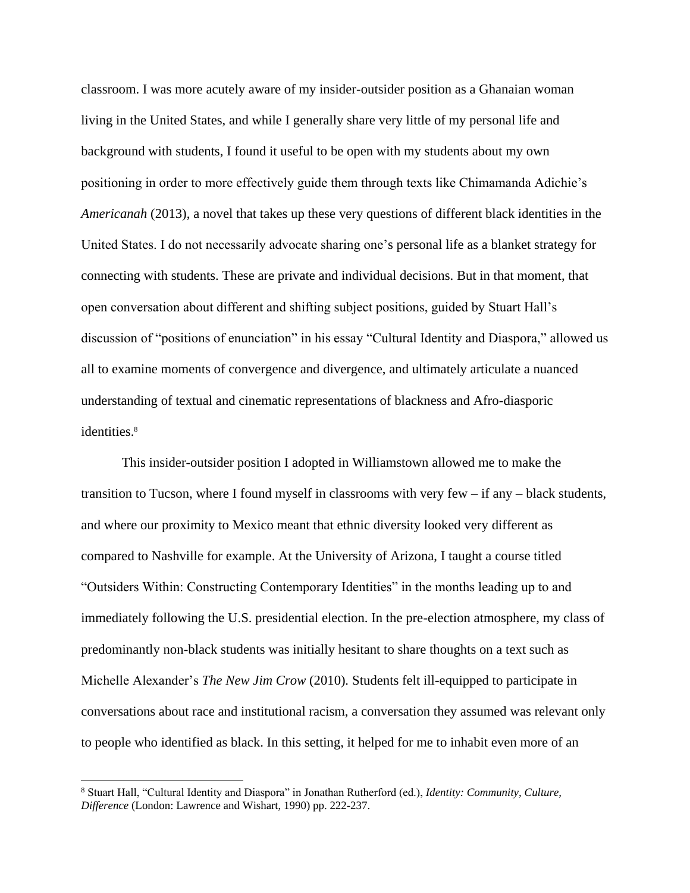classroom. I was more acutely aware of my insider-outsider position as a Ghanaian woman living in the United States, and while I generally share very little of my personal life and background with students, I found it useful to be open with my students about my own positioning in order to more effectively guide them through texts like Chimamanda Adichie's *Americanah* (2013), a novel that takes up these very questions of different black identities in the United States. I do not necessarily advocate sharing one's personal life as a blanket strategy for connecting with students. These are private and individual decisions. But in that moment, that open conversation about different and shifting subject positions, guided by Stuart Hall's discussion of "positions of enunciation" in his essay "Cultural Identity and Diaspora," allowed us all to examine moments of convergence and divergence, and ultimately articulate a nuanced understanding of textual and cinematic representations of blackness and Afro-diasporic identities.<sup>8</sup>

This insider-outsider position I adopted in Williamstown allowed me to make the transition to Tucson, where I found myself in classrooms with very few – if any – black students, and where our proximity to Mexico meant that ethnic diversity looked very different as compared to Nashville for example. At the University of Arizona, I taught a course titled "Outsiders Within: Constructing Contemporary Identities" in the months leading up to and immediately following the U.S. presidential election. In the pre-election atmosphere, my class of predominantly non-black students was initially hesitant to share thoughts on a text such as Michelle Alexander's *The New Jim Crow* (2010)*.* Students felt ill-equipped to participate in conversations about race and institutional racism, a conversation they assumed was relevant only to people who identified as black. In this setting, it helped for me to inhabit even more of an

<sup>8</sup> Stuart Hall, "Cultural Identity and Diaspora" in Jonathan Rutherford (ed.), *Identity: Community, Culture, Difference* (London: Lawrence and Wishart, 1990) pp. 222-237.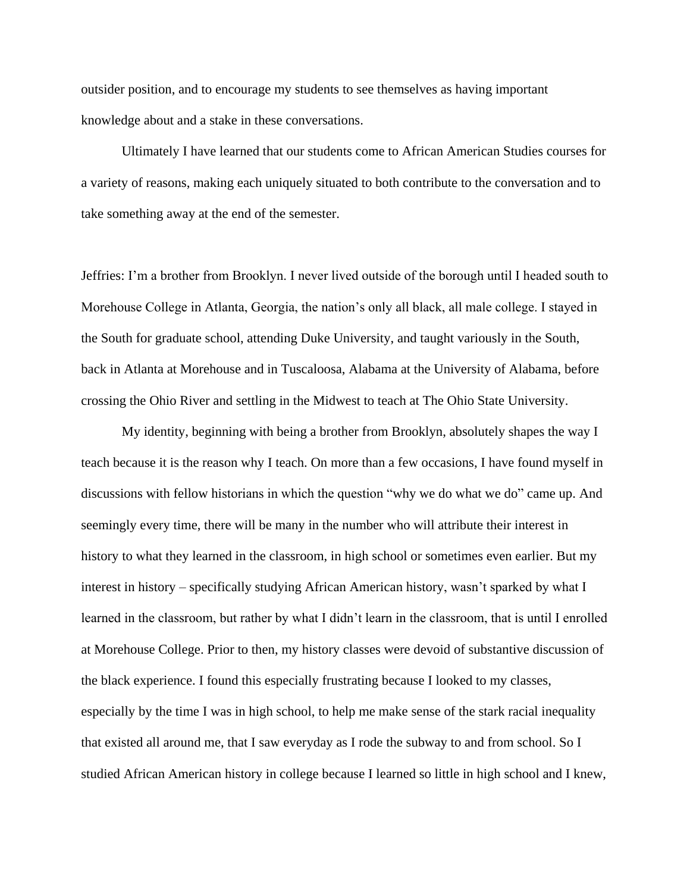outsider position, and to encourage my students to see themselves as having important knowledge about and a stake in these conversations.

Ultimately I have learned that our students come to African American Studies courses for a variety of reasons, making each uniquely situated to both contribute to the conversation and to take something away at the end of the semester.

Jeffries: I'm a brother from Brooklyn. I never lived outside of the borough until I headed south to Morehouse College in Atlanta, Georgia, the nation's only all black, all male college. I stayed in the South for graduate school, attending Duke University, and taught variously in the South, back in Atlanta at Morehouse and in Tuscaloosa, Alabama at the University of Alabama, before crossing the Ohio River and settling in the Midwest to teach at The Ohio State University.

My identity, beginning with being a brother from Brooklyn, absolutely shapes the way I teach because it is the reason why I teach. On more than a few occasions, I have found myself in discussions with fellow historians in which the question "why we do what we do" came up. And seemingly every time, there will be many in the number who will attribute their interest in history to what they learned in the classroom, in high school or sometimes even earlier. But my interest in history – specifically studying African American history, wasn't sparked by what I learned in the classroom, but rather by what I didn't learn in the classroom, that is until I enrolled at Morehouse College. Prior to then, my history classes were devoid of substantive discussion of the black experience. I found this especially frustrating because I looked to my classes, especially by the time I was in high school, to help me make sense of the stark racial inequality that existed all around me, that I saw everyday as I rode the subway to and from school. So I studied African American history in college because I learned so little in high school and I knew,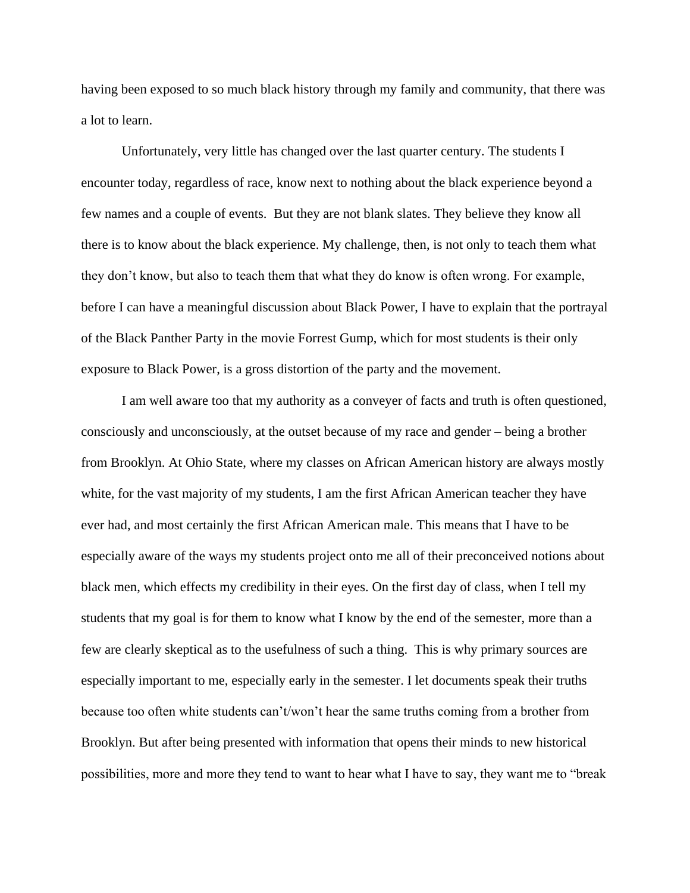having been exposed to so much black history through my family and community, that there was a lot to learn.

Unfortunately, very little has changed over the last quarter century. The students I encounter today, regardless of race, know next to nothing about the black experience beyond a few names and a couple of events. But they are not blank slates. They believe they know all there is to know about the black experience. My challenge, then, is not only to teach them what they don't know, but also to teach them that what they do know is often wrong. For example, before I can have a meaningful discussion about Black Power, I have to explain that the portrayal of the Black Panther Party in the movie Forrest Gump, which for most students is their only exposure to Black Power, is a gross distortion of the party and the movement.

I am well aware too that my authority as a conveyer of facts and truth is often questioned, consciously and unconsciously, at the outset because of my race and gender – being a brother from Brooklyn. At Ohio State, where my classes on African American history are always mostly white, for the vast majority of my students, I am the first African American teacher they have ever had, and most certainly the first African American male. This means that I have to be especially aware of the ways my students project onto me all of their preconceived notions about black men, which effects my credibility in their eyes. On the first day of class, when I tell my students that my goal is for them to know what I know by the end of the semester, more than a few are clearly skeptical as to the usefulness of such a thing. This is why primary sources are especially important to me, especially early in the semester. I let documents speak their truths because too often white students can't/won't hear the same truths coming from a brother from Brooklyn. But after being presented with information that opens their minds to new historical possibilities, more and more they tend to want to hear what I have to say, they want me to "break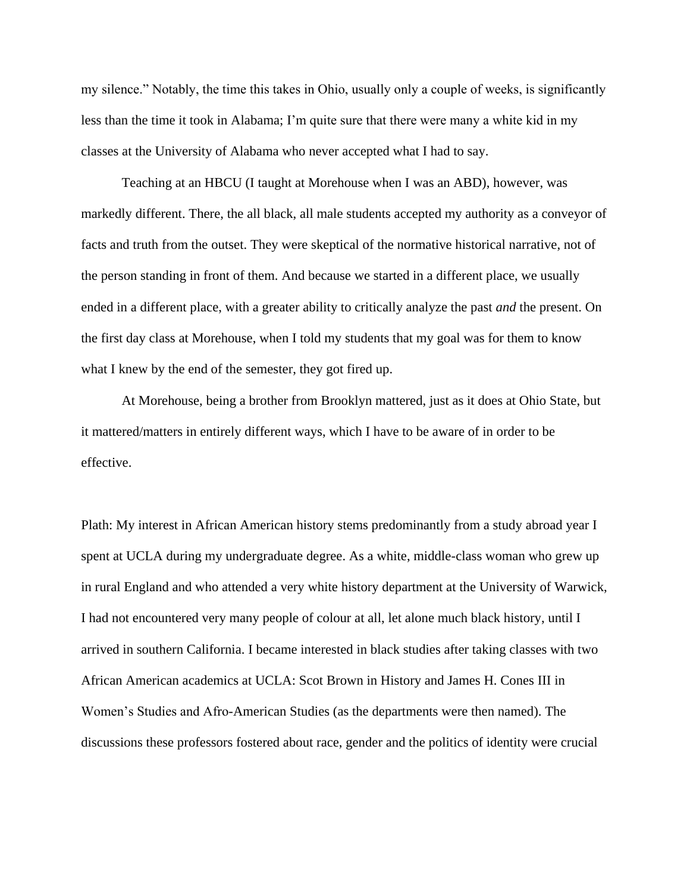my silence." Notably, the time this takes in Ohio, usually only a couple of weeks, is significantly less than the time it took in Alabama; I'm quite sure that there were many a white kid in my classes at the University of Alabama who never accepted what I had to say.

Teaching at an HBCU (I taught at Morehouse when I was an ABD), however, was markedly different. There, the all black, all male students accepted my authority as a conveyor of facts and truth from the outset. They were skeptical of the normative historical narrative, not of the person standing in front of them. And because we started in a different place, we usually ended in a different place, with a greater ability to critically analyze the past *and* the present. On the first day class at Morehouse, when I told my students that my goal was for them to know what I knew by the end of the semester, they got fired up.

At Morehouse, being a brother from Brooklyn mattered, just as it does at Ohio State, but it mattered/matters in entirely different ways, which I have to be aware of in order to be effective.

Plath: My interest in African American history stems predominantly from a study abroad year I spent at UCLA during my undergraduate degree. As a white, middle-class woman who grew up in rural England and who attended a very white history department at the University of Warwick, I had not encountered very many people of colour at all, let alone much black history, until I arrived in southern California. I became interested in black studies after taking classes with two African American academics at UCLA: Scot Brown in History and James H. Cones III in Women's Studies and Afro-American Studies (as the departments were then named). The discussions these professors fostered about race, gender and the politics of identity were crucial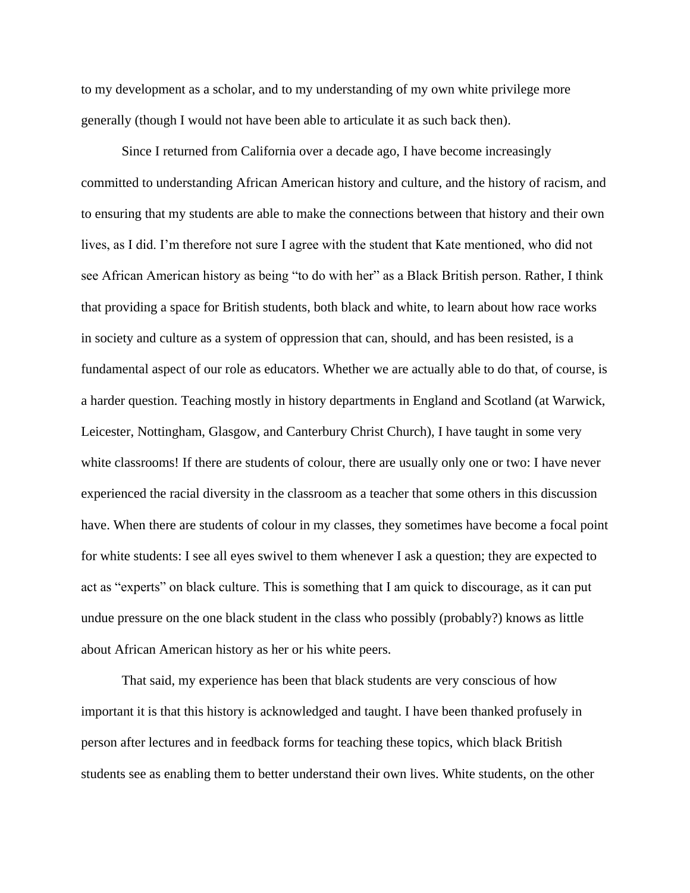to my development as a scholar, and to my understanding of my own white privilege more generally (though I would not have been able to articulate it as such back then).

Since I returned from California over a decade ago, I have become increasingly committed to understanding African American history and culture, and the history of racism, and to ensuring that my students are able to make the connections between that history and their own lives, as I did. I'm therefore not sure I agree with the student that Kate mentioned, who did not see African American history as being "to do with her" as a Black British person. Rather, I think that providing a space for British students, both black and white, to learn about how race works in society and culture as a system of oppression that can, should, and has been resisted, is a fundamental aspect of our role as educators. Whether we are actually able to do that, of course, is a harder question. Teaching mostly in history departments in England and Scotland (at Warwick, Leicester, Nottingham, Glasgow, and Canterbury Christ Church), I have taught in some very white classrooms! If there are students of colour, there are usually only one or two: I have never experienced the racial diversity in the classroom as a teacher that some others in this discussion have. When there are students of colour in my classes, they sometimes have become a focal point for white students: I see all eyes swivel to them whenever I ask a question; they are expected to act as "experts" on black culture. This is something that I am quick to discourage, as it can put undue pressure on the one black student in the class who possibly (probably?) knows as little about African American history as her or his white peers.

That said, my experience has been that black students are very conscious of how important it is that this history is acknowledged and taught. I have been thanked profusely in person after lectures and in feedback forms for teaching these topics, which black British students see as enabling them to better understand their own lives. White students, on the other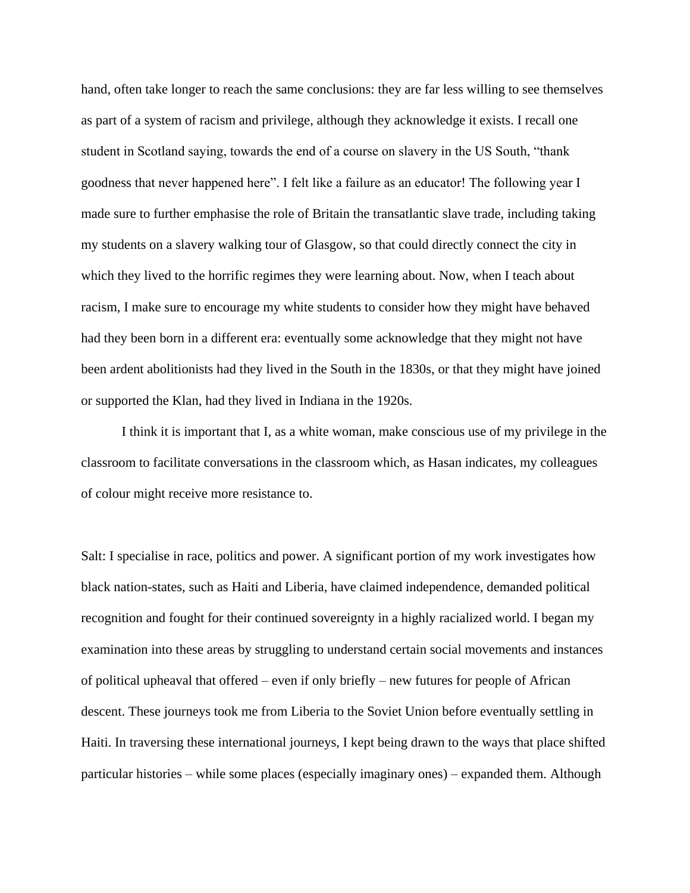hand, often take longer to reach the same conclusions: they are far less willing to see themselves as part of a system of racism and privilege, although they acknowledge it exists. I recall one student in Scotland saying, towards the end of a course on slavery in the US South, "thank goodness that never happened here". I felt like a failure as an educator! The following year I made sure to further emphasise the role of Britain the transatlantic slave trade, including taking my students on a slavery walking tour of Glasgow, so that could directly connect the city in which they lived to the horrific regimes they were learning about. Now, when I teach about racism, I make sure to encourage my white students to consider how they might have behaved had they been born in a different era: eventually some acknowledge that they might not have been ardent abolitionists had they lived in the South in the 1830s, or that they might have joined or supported the Klan, had they lived in Indiana in the 1920s.

I think it is important that I, as a white woman, make conscious use of my privilege in the classroom to facilitate conversations in the classroom which, as Hasan indicates, my colleagues of colour might receive more resistance to.

Salt: I specialise in race, politics and power. A significant portion of my work investigates how black nation-states, such as Haiti and Liberia, have claimed independence, demanded political recognition and fought for their continued sovereignty in a highly racialized world. I began my examination into these areas by struggling to understand certain social movements and instances of political upheaval that offered – even if only briefly – new futures for people of African descent. These journeys took me from Liberia to the Soviet Union before eventually settling in Haiti. In traversing these international journeys, I kept being drawn to the ways that place shifted particular histories – while some places (especially imaginary ones) – expanded them. Although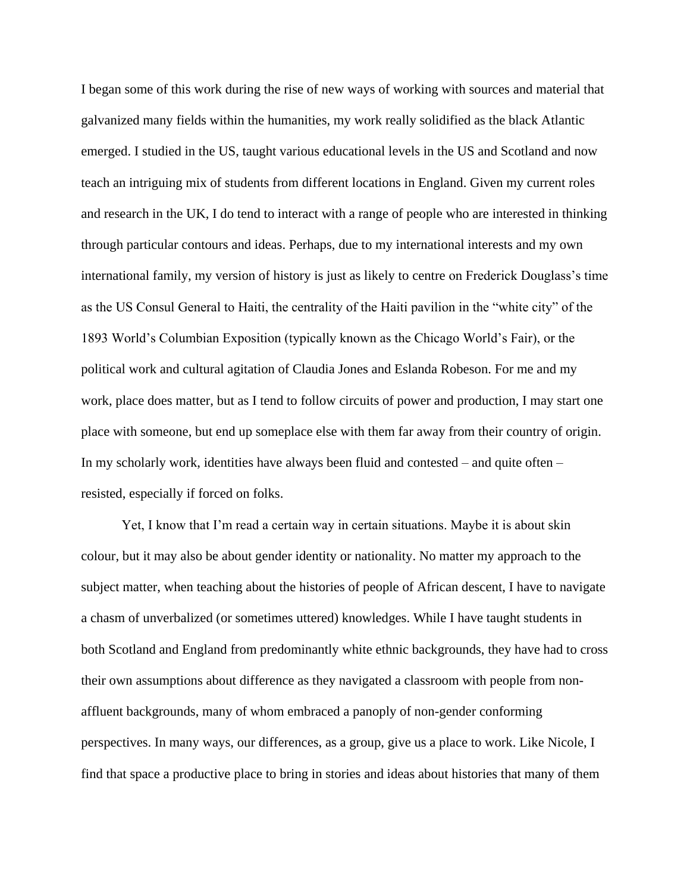I began some of this work during the rise of new ways of working with sources and material that galvanized many fields within the humanities, my work really solidified as the black Atlantic emerged. I studied in the US, taught various educational levels in the US and Scotland and now teach an intriguing mix of students from different locations in England. Given my current roles and research in the UK, I do tend to interact with a range of people who are interested in thinking through particular contours and ideas. Perhaps, due to my international interests and my own international family, my version of history is just as likely to centre on Frederick Douglass's time as the US Consul General to Haiti, the centrality of the Haiti pavilion in the "white city" of the 1893 World's Columbian Exposition (typically known as the Chicago World's Fair), or the political work and cultural agitation of Claudia Jones and Eslanda Robeson. For me and my work, place does matter, but as I tend to follow circuits of power and production, I may start one place with someone, but end up someplace else with them far away from their country of origin. In my scholarly work, identities have always been fluid and contested – and quite often – resisted, especially if forced on folks.

Yet, I know that I'm read a certain way in certain situations. Maybe it is about skin colour, but it may also be about gender identity or nationality. No matter my approach to the subject matter, when teaching about the histories of people of African descent, I have to navigate a chasm of unverbalized (or sometimes uttered) knowledges. While I have taught students in both Scotland and England from predominantly white ethnic backgrounds, they have had to cross their own assumptions about difference as they navigated a classroom with people from nonaffluent backgrounds, many of whom embraced a panoply of non-gender conforming perspectives. In many ways, our differences, as a group, give us a place to work. Like Nicole, I find that space a productive place to bring in stories and ideas about histories that many of them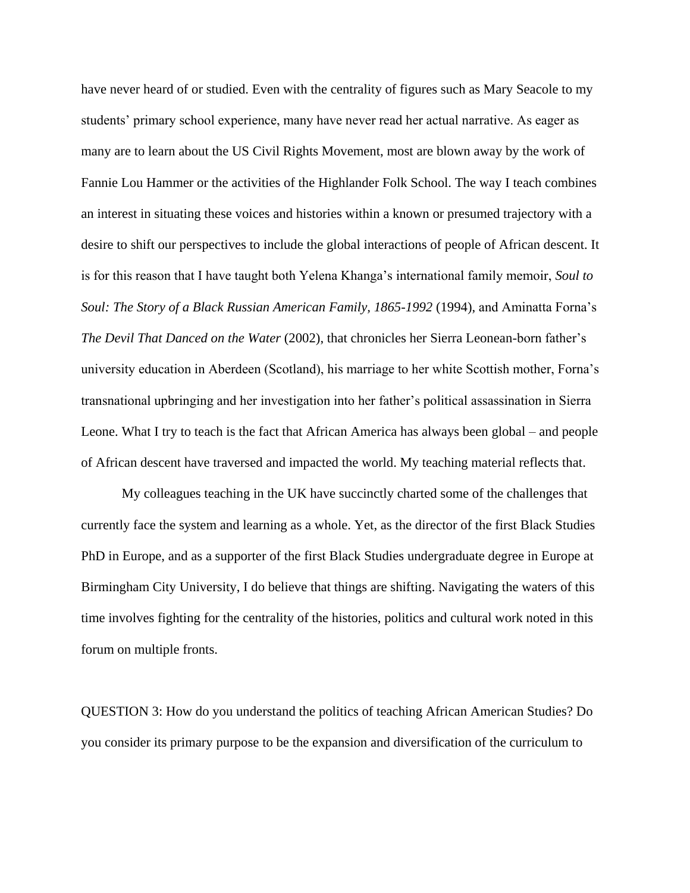have never heard of or studied. Even with the centrality of figures such as Mary Seacole to my students' primary school experience, many have never read her actual narrative. As eager as many are to learn about the US Civil Rights Movement, most are blown away by the work of Fannie Lou Hammer or the activities of the Highlander Folk School. The way I teach combines an interest in situating these voices and histories within a known or presumed trajectory with a desire to shift our perspectives to include the global interactions of people of African descent. It is for this reason that I have taught both Yelena Khanga's international family memoir, *Soul to Soul: The Story of a Black Russian American Family, 1865-1992* (1994), and Aminatta Forna's *The Devil That Danced on the Water* (2002), that chronicles her Sierra Leonean-born father's university education in Aberdeen (Scotland), his marriage to her white Scottish mother, Forna's transnational upbringing and her investigation into her father's political assassination in Sierra Leone. What I try to teach is the fact that African America has always been global – and people of African descent have traversed and impacted the world. My teaching material reflects that.

My colleagues teaching in the UK have succinctly charted some of the challenges that currently face the system and learning as a whole. Yet, as the director of the first Black Studies PhD in Europe, and as a supporter of the first Black Studies undergraduate degree in Europe at Birmingham City University, I do believe that things are shifting. Navigating the waters of this time involves fighting for the centrality of the histories, politics and cultural work noted in this forum on multiple fronts.

QUESTION 3: How do you understand the politics of teaching African American Studies? Do you consider its primary purpose to be the expansion and diversification of the curriculum to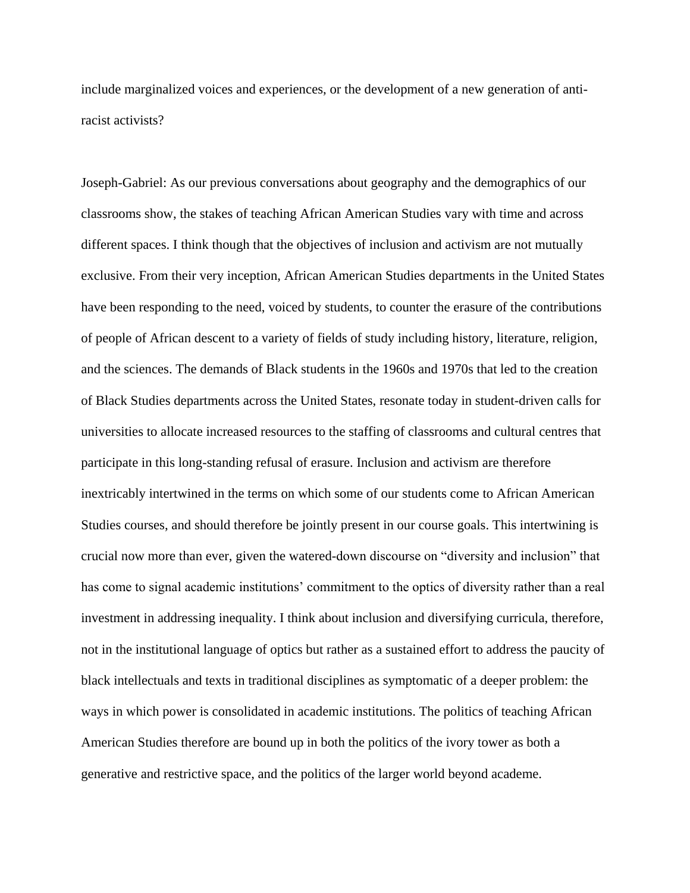include marginalized voices and experiences, or the development of a new generation of antiracist activists?

Joseph-Gabriel: As our previous conversations about geography and the demographics of our classrooms show, the stakes of teaching African American Studies vary with time and across different spaces. I think though that the objectives of inclusion and activism are not mutually exclusive. From their very inception, African American Studies departments in the United States have been responding to the need, voiced by students, to counter the erasure of the contributions of people of African descent to a variety of fields of study including history, literature, religion, and the sciences. The demands of Black students in the 1960s and 1970s that led to the creation of Black Studies departments across the United States, resonate today in student-driven calls for universities to allocate increased resources to the staffing of classrooms and cultural centres that participate in this long-standing refusal of erasure. Inclusion and activism are therefore inextricably intertwined in the terms on which some of our students come to African American Studies courses, and should therefore be jointly present in our course goals. This intertwining is crucial now more than ever, given the watered-down discourse on "diversity and inclusion" that has come to signal academic institutions' commitment to the optics of diversity rather than a real investment in addressing inequality. I think about inclusion and diversifying curricula, therefore, not in the institutional language of optics but rather as a sustained effort to address the paucity of black intellectuals and texts in traditional disciplines as symptomatic of a deeper problem: the ways in which power is consolidated in academic institutions. The politics of teaching African American Studies therefore are bound up in both the politics of the ivory tower as both a generative and restrictive space, and the politics of the larger world beyond academe.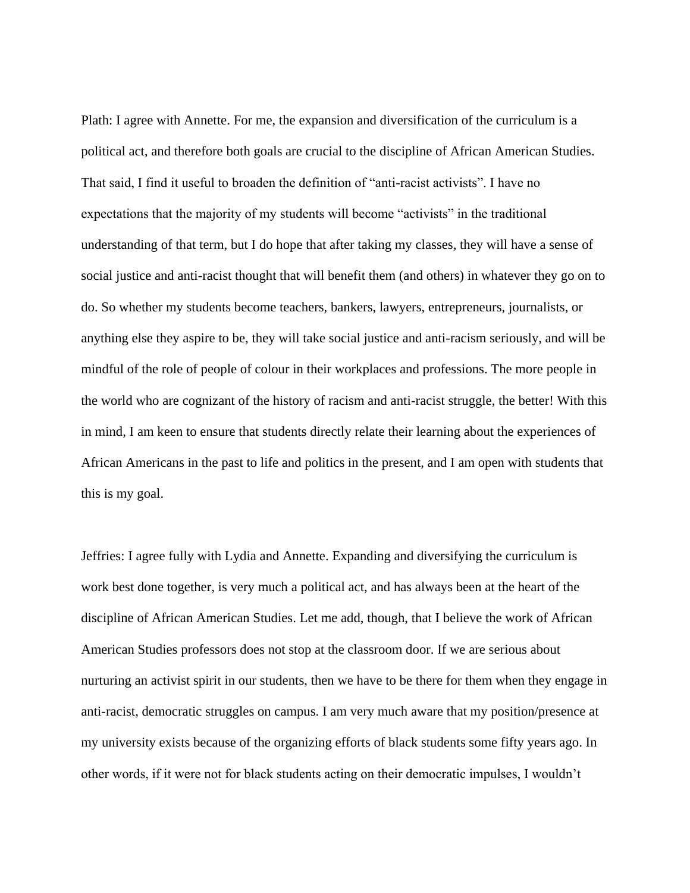Plath: I agree with Annette. For me, the expansion and diversification of the curriculum is a political act, and therefore both goals are crucial to the discipline of African American Studies. That said, I find it useful to broaden the definition of "anti-racist activists". I have no expectations that the majority of my students will become "activists" in the traditional understanding of that term, but I do hope that after taking my classes, they will have a sense of social justice and anti-racist thought that will benefit them (and others) in whatever they go on to do. So whether my students become teachers, bankers, lawyers, entrepreneurs, journalists, or anything else they aspire to be, they will take social justice and anti-racism seriously, and will be mindful of the role of people of colour in their workplaces and professions. The more people in the world who are cognizant of the history of racism and anti-racist struggle, the better! With this in mind, I am keen to ensure that students directly relate their learning about the experiences of African Americans in the past to life and politics in the present, and I am open with students that this is my goal.

Jeffries: I agree fully with Lydia and Annette. Expanding and diversifying the curriculum is work best done together, is very much a political act, and has always been at the heart of the discipline of African American Studies. Let me add, though, that I believe the work of African American Studies professors does not stop at the classroom door. If we are serious about nurturing an activist spirit in our students, then we have to be there for them when they engage in anti-racist, democratic struggles on campus. I am very much aware that my position/presence at my university exists because of the organizing efforts of black students some fifty years ago. In other words, if it were not for black students acting on their democratic impulses, I wouldn't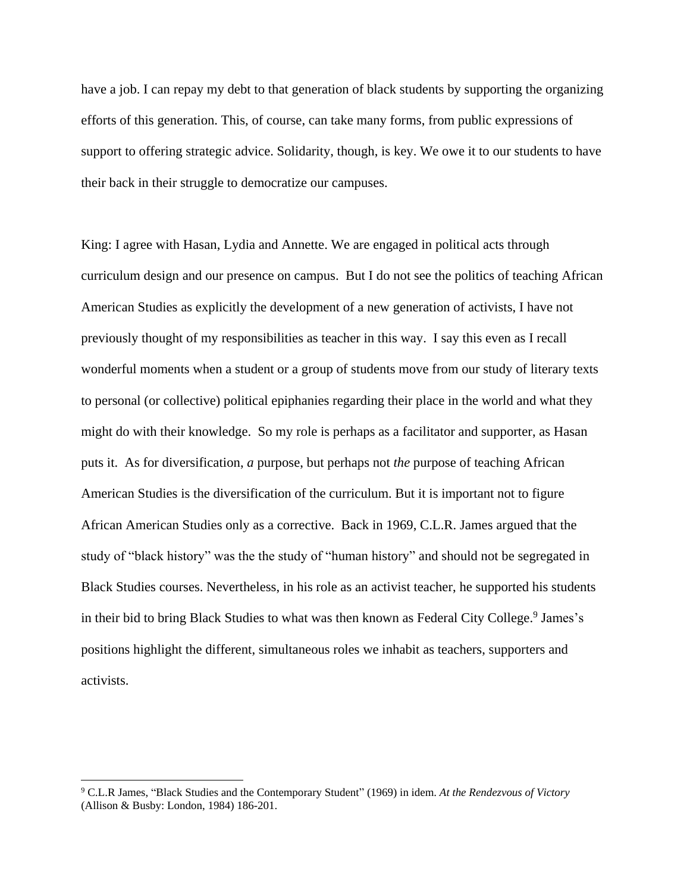have a job. I can repay my debt to that generation of black students by supporting the organizing efforts of this generation. This, of course, can take many forms, from public expressions of support to offering strategic advice. Solidarity, though, is key. We owe it to our students to have their back in their struggle to democratize our campuses.

King: I agree with Hasan, Lydia and Annette. We are engaged in political acts through curriculum design and our presence on campus. But I do not see the politics of teaching African American Studies as explicitly the development of a new generation of activists, I have not previously thought of my responsibilities as teacher in this way. I say this even as I recall wonderful moments when a student or a group of students move from our study of literary texts to personal (or collective) political epiphanies regarding their place in the world and what they might do with their knowledge. So my role is perhaps as a facilitator and supporter, as Hasan puts it. As for diversification, *a* purpose, but perhaps not *the* purpose of teaching African American Studies is the diversification of the curriculum. But it is important not to figure African American Studies only as a corrective. Back in 1969, C.L.R. James argued that the study of "black history" was the the study of "human history" and should not be segregated in Black Studies courses. Nevertheless, in his role as an activist teacher, he supported his students in their bid to bring Black Studies to what was then known as Federal City College.<sup>9</sup> James's positions highlight the different, simultaneous roles we inhabit as teachers, supporters and activists.

<sup>9</sup> C.L.R James, "Black Studies and the Contemporary Student" (1969) in idem. *At the Rendezvous of Victory* (Allison & Busby: London, 1984) 186-201.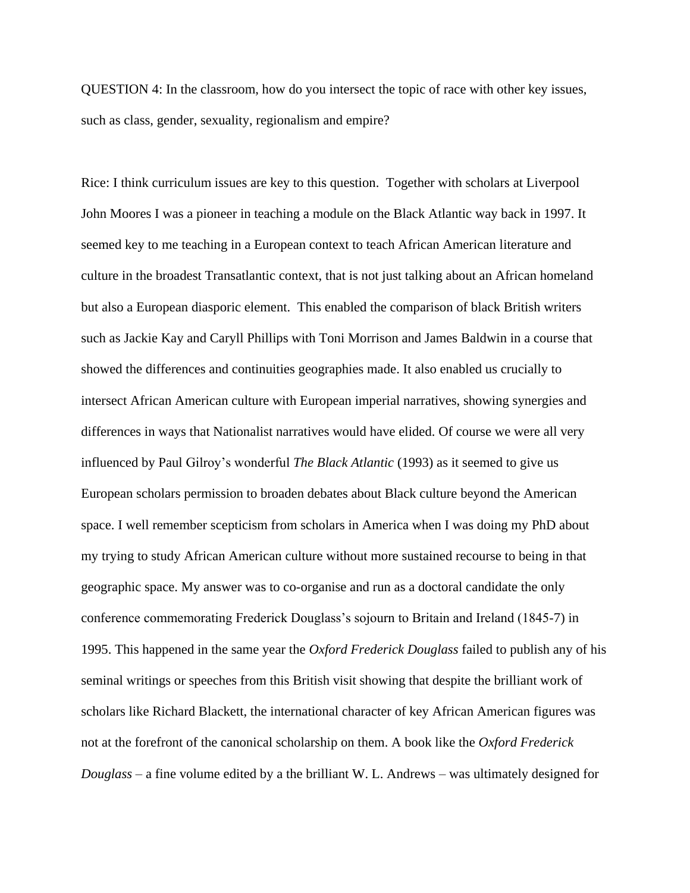QUESTION 4: In the classroom, how do you intersect the topic of race with other key issues, such as class, gender, sexuality, regionalism and empire?

Rice: I think curriculum issues are key to this question. Together with scholars at Liverpool John Moores I was a pioneer in teaching a module on the Black Atlantic way back in 1997. It seemed key to me teaching in a European context to teach African American literature and culture in the broadest Transatlantic context, that is not just talking about an African homeland but also a European diasporic element. This enabled the comparison of black British writers such as Jackie Kay and Caryll Phillips with Toni Morrison and James Baldwin in a course that showed the differences and continuities geographies made. It also enabled us crucially to intersect African American culture with European imperial narratives, showing synergies and differences in ways that Nationalist narratives would have elided. Of course we were all very influenced by Paul Gilroy's wonderful *The Black Atlantic* (1993) as it seemed to give us European scholars permission to broaden debates about Black culture beyond the American space. I well remember scepticism from scholars in America when I was doing my PhD about my trying to study African American culture without more sustained recourse to being in that geographic space. My answer was to co-organise and run as a doctoral candidate the only conference commemorating Frederick Douglass's sojourn to Britain and Ireland (1845-7) in 1995. This happened in the same year the *Oxford Frederick Douglass* failed to publish any of his seminal writings or speeches from this British visit showing that despite the brilliant work of scholars like Richard Blackett, the international character of key African American figures was not at the forefront of the canonical scholarship on them. A book like the *Oxford Frederick Douglass* – a fine volume edited by a the brilliant W. L. Andrews – was ultimately designed for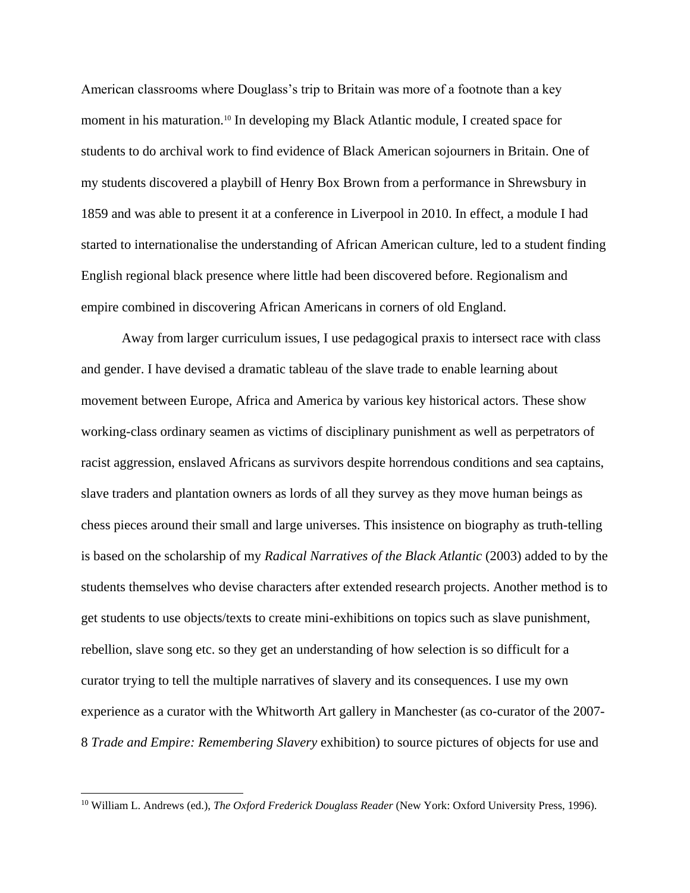American classrooms where Douglass's trip to Britain was more of a footnote than a key moment in his maturation.<sup>10</sup> In developing my Black Atlantic module, I created space for students to do archival work to find evidence of Black American sojourners in Britain. One of my students discovered a playbill of Henry Box Brown from a performance in Shrewsbury in 1859 and was able to present it at a conference in Liverpool in 2010. In effect, a module I had started to internationalise the understanding of African American culture, led to a student finding English regional black presence where little had been discovered before. Regionalism and empire combined in discovering African Americans in corners of old England.

Away from larger curriculum issues, I use pedagogical praxis to intersect race with class and gender. I have devised a dramatic tableau of the slave trade to enable learning about movement between Europe, Africa and America by various key historical actors. These show working-class ordinary seamen as victims of disciplinary punishment as well as perpetrators of racist aggression, enslaved Africans as survivors despite horrendous conditions and sea captains, slave traders and plantation owners as lords of all they survey as they move human beings as chess pieces around their small and large universes. This insistence on biography as truth-telling is based on the scholarship of my *Radical Narratives of the Black Atlantic* (2003) added to by the students themselves who devise characters after extended research projects. Another method is to get students to use objects/texts to create mini-exhibitions on topics such as slave punishment, rebellion, slave song etc. so they get an understanding of how selection is so difficult for a curator trying to tell the multiple narratives of slavery and its consequences. I use my own experience as a curator with the Whitworth Art gallery in Manchester (as co-curator of the 2007- 8 *Trade and Empire: Remembering Slavery* exhibition) to source pictures of objects for use and

<sup>10</sup> William L. Andrews (ed.), *The Oxford Frederick Douglass Reader* (New York: Oxford University Press, 1996).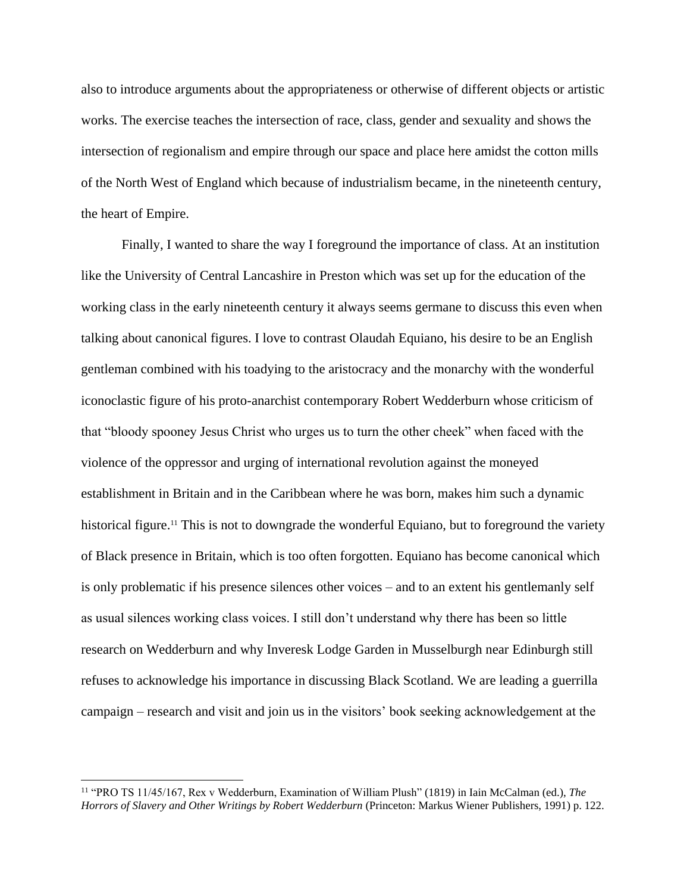also to introduce arguments about the appropriateness or otherwise of different objects or artistic works. The exercise teaches the intersection of race, class, gender and sexuality and shows the intersection of regionalism and empire through our space and place here amidst the cotton mills of the North West of England which because of industrialism became, in the nineteenth century, the heart of Empire.

Finally, I wanted to share the way I foreground the importance of class. At an institution like the University of Central Lancashire in Preston which was set up for the education of the working class in the early nineteenth century it always seems germane to discuss this even when talking about canonical figures. I love to contrast Olaudah Equiano, his desire to be an English gentleman combined with his toadying to the aristocracy and the monarchy with the wonderful iconoclastic figure of his proto-anarchist contemporary Robert Wedderburn whose criticism of that "bloody spooney Jesus Christ who urges us to turn the other cheek" when faced with the violence of the oppressor and urging of international revolution against the moneyed establishment in Britain and in the Caribbean where he was born, makes him such a dynamic historical figure.<sup>11</sup> This is not to downgrade the wonderful Equiano, but to foreground the variety of Black presence in Britain, which is too often forgotten. Equiano has become canonical which is only problematic if his presence silences other voices – and to an extent his gentlemanly self as usual silences working class voices. I still don't understand why there has been so little research on Wedderburn and why Inveresk Lodge Garden in Musselburgh near Edinburgh still refuses to acknowledge his importance in discussing Black Scotland. We are leading a guerrilla campaign – research and visit and join us in the visitors' book seeking acknowledgement at the

<sup>11</sup> "PRO TS 11/45/167, Rex v Wedderburn, Examination of William Plush" (1819) in Iain McCalman (ed.), *The Horrors of Slavery and Other Writings by Robert Wedderburn (Princeton: Markus Wiener Publishers, 1991) p. 122.*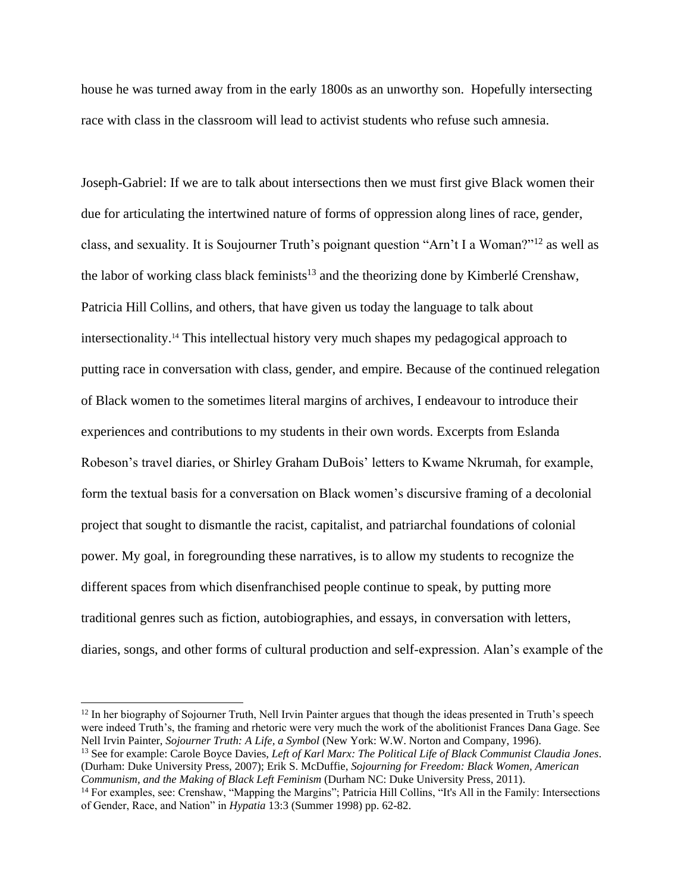house he was turned away from in the early 1800s as an unworthy son. Hopefully intersecting race with class in the classroom will lead to activist students who refuse such amnesia.

Joseph-Gabriel: If we are to talk about intersections then we must first give Black women their due for articulating the intertwined nature of forms of oppression along lines of race, gender, class, and sexuality. It is Soujourner Truth's poignant question "Arn't I a Woman?"<sup>12</sup> as well as the labor of working class black feminists<sup>13</sup> and the theorizing done by Kimberlé Crenshaw, Patricia Hill Collins, and others, that have given us today the language to talk about intersectionality.<sup>14</sup> This intellectual history very much shapes my pedagogical approach to putting race in conversation with class, gender, and empire. Because of the continued relegation of Black women to the sometimes literal margins of archives, I endeavour to introduce their experiences and contributions to my students in their own words. Excerpts from Eslanda Robeson's travel diaries, or Shirley Graham DuBois' letters to Kwame Nkrumah, for example, form the textual basis for a conversation on Black women's discursive framing of a decolonial project that sought to dismantle the racist, capitalist, and patriarchal foundations of colonial power. My goal, in foregrounding these narratives, is to allow my students to recognize the different spaces from which disenfranchised people continue to speak, by putting more traditional genres such as fiction, autobiographies, and essays, in conversation with letters, diaries, songs, and other forms of cultural production and self-expression. Alan's example of the

 $12$  In her biography of Sojourner Truth, Nell Irvin Painter argues that though the ideas presented in Truth's speech were indeed Truth's, the framing and rhetoric were very much the work of the abolitionist Frances Dana Gage. See Nell Irvin Painter, *Sojourner Truth: A Life, a Symbol* (New York: W.W. Norton and Company, 1996).

<sup>13</sup> See for example: Carole Boyce Davies, *Left of Karl Marx: The Political Life of Black Communist Claudia Jones*. (Durham: Duke University Press, 2007); Erik S. McDuffie, *Sojourning for Freedom: Black Women, American Communism, and the Making of Black Left Feminism* (Durham NC: Duke University Press, 2011).

<sup>&</sup>lt;sup>14</sup> For examples, see: Crenshaw, "Mapping the Margins"; Patricia Hill Collins, "It's All in the Family: Intersections of Gender, Race, and Nation" in *Hypatia* 13:3 (Summer 1998) pp. 62-82.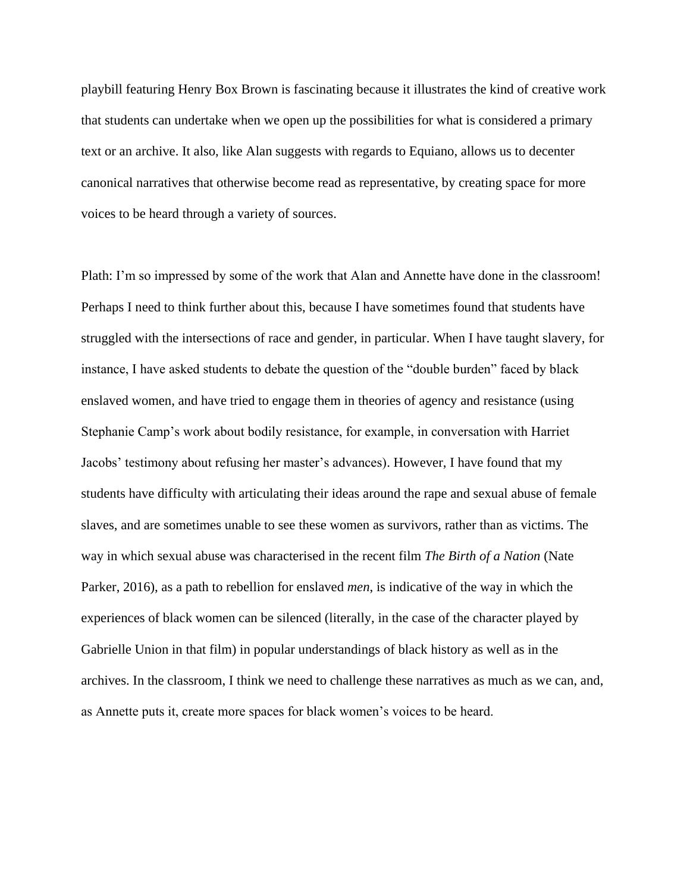playbill featuring Henry Box Brown is fascinating because it illustrates the kind of creative work that students can undertake when we open up the possibilities for what is considered a primary text or an archive. It also, like Alan suggests with regards to Equiano, allows us to decenter canonical narratives that otherwise become read as representative, by creating space for more voices to be heard through a variety of sources.

Plath: I'm so impressed by some of the work that Alan and Annette have done in the classroom! Perhaps I need to think further about this, because I have sometimes found that students have struggled with the intersections of race and gender, in particular. When I have taught slavery, for instance, I have asked students to debate the question of the "double burden" faced by black enslaved women, and have tried to engage them in theories of agency and resistance (using Stephanie Camp's work about bodily resistance, for example, in conversation with Harriet Jacobs' testimony about refusing her master's advances). However, I have found that my students have difficulty with articulating their ideas around the rape and sexual abuse of female slaves, and are sometimes unable to see these women as survivors, rather than as victims. The way in which sexual abuse was characterised in the recent film *The Birth of a Nation* (Nate Parker, 2016), as a path to rebellion for enslaved *men*, is indicative of the way in which the experiences of black women can be silenced (literally, in the case of the character played by Gabrielle Union in that film) in popular understandings of black history as well as in the archives. In the classroom, I think we need to challenge these narratives as much as we can, and, as Annette puts it, create more spaces for black women's voices to be heard.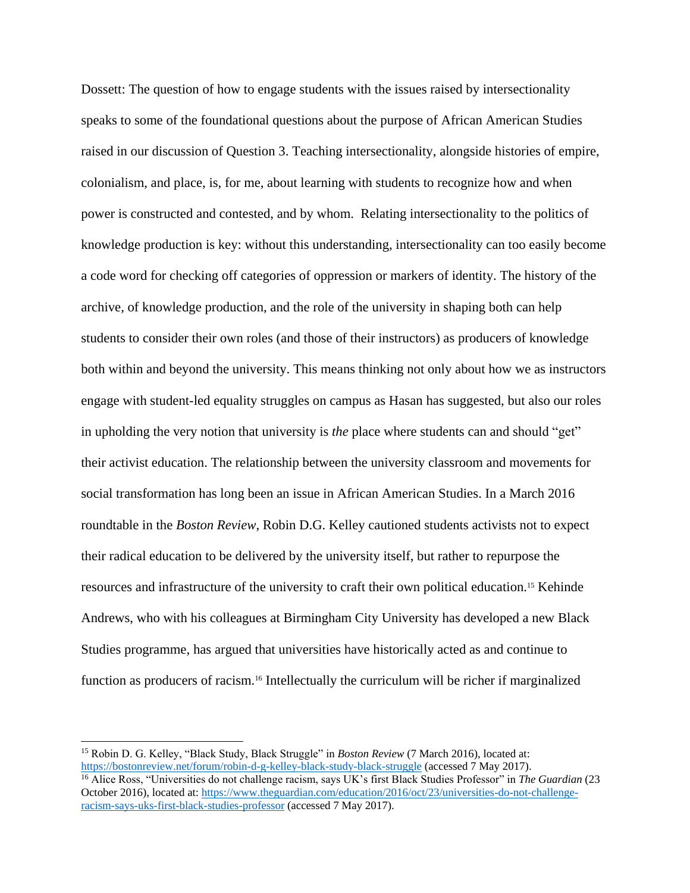Dossett: The question of how to engage students with the issues raised by intersectionality speaks to some of the foundational questions about the purpose of African American Studies raised in our discussion of Question 3. Teaching intersectionality, alongside histories of empire, colonialism, and place, is, for me, about learning with students to recognize how and when power is constructed and contested, and by whom. Relating intersectionality to the politics of knowledge production is key: without this understanding, intersectionality can too easily become a code word for checking off categories of oppression or markers of identity. The history of the archive, of knowledge production, and the role of the university in shaping both can help students to consider their own roles (and those of their instructors) as producers of knowledge both within and beyond the university. This means thinking not only about how we as instructors engage with student-led equality struggles on campus as Hasan has suggested, but also our roles in upholding the very notion that university is *the* place where students can and should "get" their activist education. The relationship between the university classroom and movements for social transformation has long been an issue in African American Studies. In a March 2016 roundtable in the *Boston Review*, Robin D.G. Kelley cautioned students activists not to expect their radical education to be delivered by the university itself, but rather to repurpose the resources and infrastructure of the university to craft their own political education.<sup>15</sup> Kehinde Andrews, who with his colleagues at Birmingham City University has developed a new Black Studies programme, has argued that universities have historically acted as and continue to function as producers of racism.<sup>16</sup> Intellectually the curriculum will be richer if marginalized

<sup>15</sup> Robin D. G. Kelley, "Black Study, Black Struggle" in *Boston Review* (7 March 2016), located at: <https://bostonreview.net/forum/robin-d-g-kelley-black-study-black-struggle> (accessed 7 May 2017).

<sup>16</sup> Alice Ross, "Universities do not challenge racism, says UK's first Black Studies Professor" in *The Guardian* (23 October 2016), located at: [https://www.theguardian.com/education/2016/oct/23/universities-do-not-challenge](https://www.theguardian.com/education/2016/oct/23/universities-do-not-challenge-racism-says-uks-first-black-studies-professor)[racism-says-uks-first-black-studies-professor](https://www.theguardian.com/education/2016/oct/23/universities-do-not-challenge-racism-says-uks-first-black-studies-professor) (accessed 7 May 2017).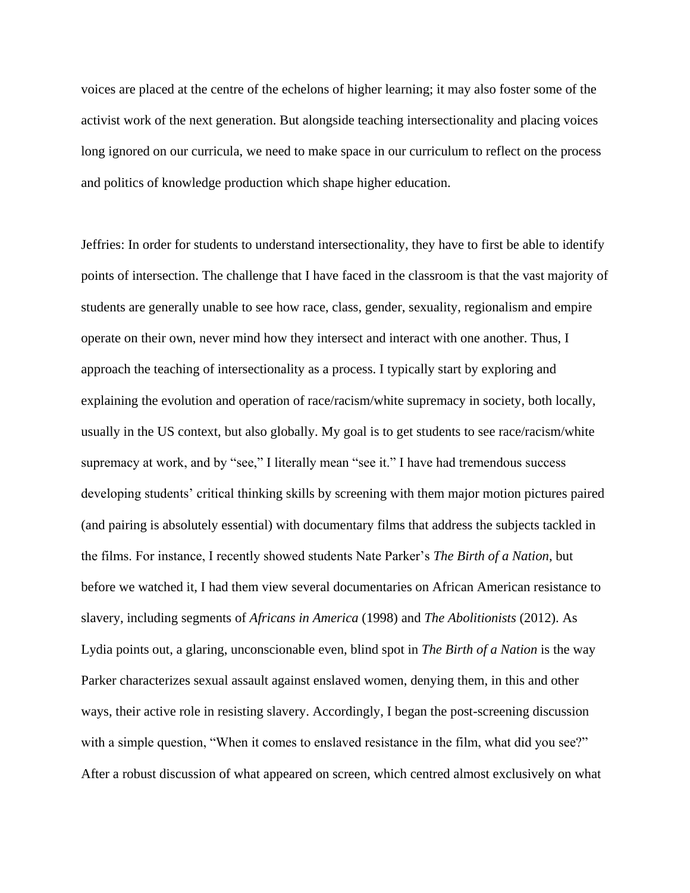voices are placed at the centre of the echelons of higher learning; it may also foster some of the activist work of the next generation. But alongside teaching intersectionality and placing voices long ignored on our curricula, we need to make space in our curriculum to reflect on the process and politics of knowledge production which shape higher education.

Jeffries: In order for students to understand intersectionality, they have to first be able to identify points of intersection. The challenge that I have faced in the classroom is that the vast majority of students are generally unable to see how race, class, gender, sexuality, regionalism and empire operate on their own, never mind how they intersect and interact with one another. Thus, I approach the teaching of intersectionality as a process. I typically start by exploring and explaining the evolution and operation of race/racism/white supremacy in society, both locally, usually in the US context, but also globally. My goal is to get students to see race/racism/white supremacy at work, and by "see," I literally mean "see it." I have had tremendous success developing students' critical thinking skills by screening with them major motion pictures paired (and pairing is absolutely essential) with documentary films that address the subjects tackled in the films. For instance, I recently showed students Nate Parker's *The Birth of a Nation*, but before we watched it, I had them view several documentaries on African American resistance to slavery, including segments of *Africans in America* (1998) and *The Abolitionists* (2012). As Lydia points out, a glaring, unconscionable even, blind spot in *The Birth of a Nation* is the way Parker characterizes sexual assault against enslaved women, denying them, in this and other ways, their active role in resisting slavery. Accordingly, I began the post-screening discussion with a simple question, "When it comes to enslaved resistance in the film, what did you see?" After a robust discussion of what appeared on screen, which centred almost exclusively on what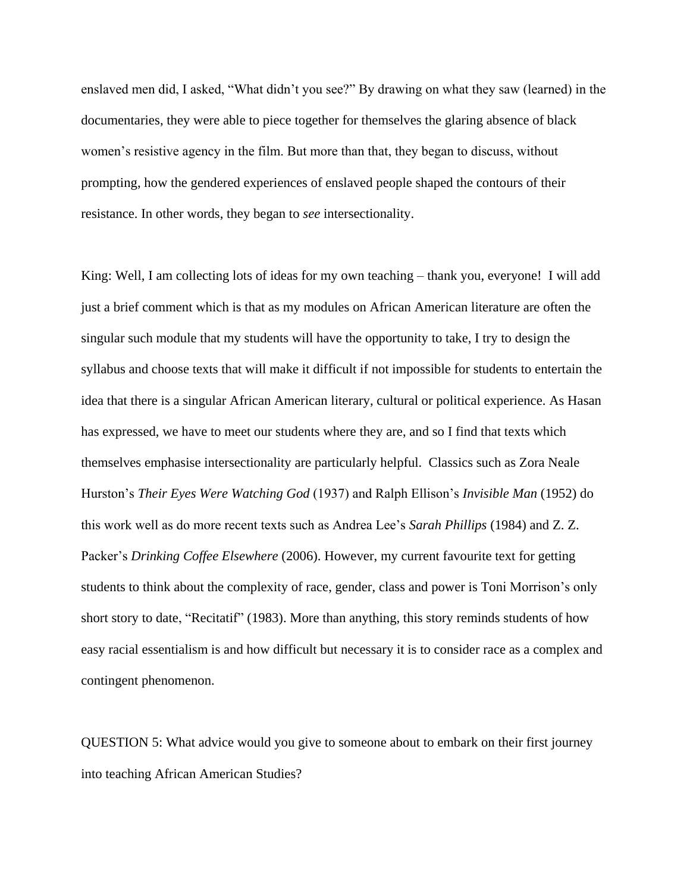enslaved men did, I asked, "What didn't you see?" By drawing on what they saw (learned) in the documentaries, they were able to piece together for themselves the glaring absence of black women's resistive agency in the film. But more than that, they began to discuss, without prompting, how the gendered experiences of enslaved people shaped the contours of their resistance. In other words, they began to *see* intersectionality.

King: Well, I am collecting lots of ideas for my own teaching – thank you, everyone! I will add just a brief comment which is that as my modules on African American literature are often the singular such module that my students will have the opportunity to take, I try to design the syllabus and choose texts that will make it difficult if not impossible for students to entertain the idea that there is a singular African American literary, cultural or political experience. As Hasan has expressed, we have to meet our students where they are, and so I find that texts which themselves emphasise intersectionality are particularly helpful. Classics such as Zora Neale Hurston's *Their Eyes Were Watching God* (1937) and Ralph Ellison's *Invisible Man* (1952) do this work well as do more recent texts such as Andrea Lee's *Sarah Phillips* (1984) and Z. Z. Packer's *Drinking Coffee Elsewhere* (2006). However, my current favourite text for getting students to think about the complexity of race, gender, class and power is Toni Morrison's only short story to date, "Recitatif" (1983). More than anything, this story reminds students of how easy racial essentialism is and how difficult but necessary it is to consider race as a complex and contingent phenomenon.

QUESTION 5: What advice would you give to someone about to embark on their first journey into teaching African American Studies?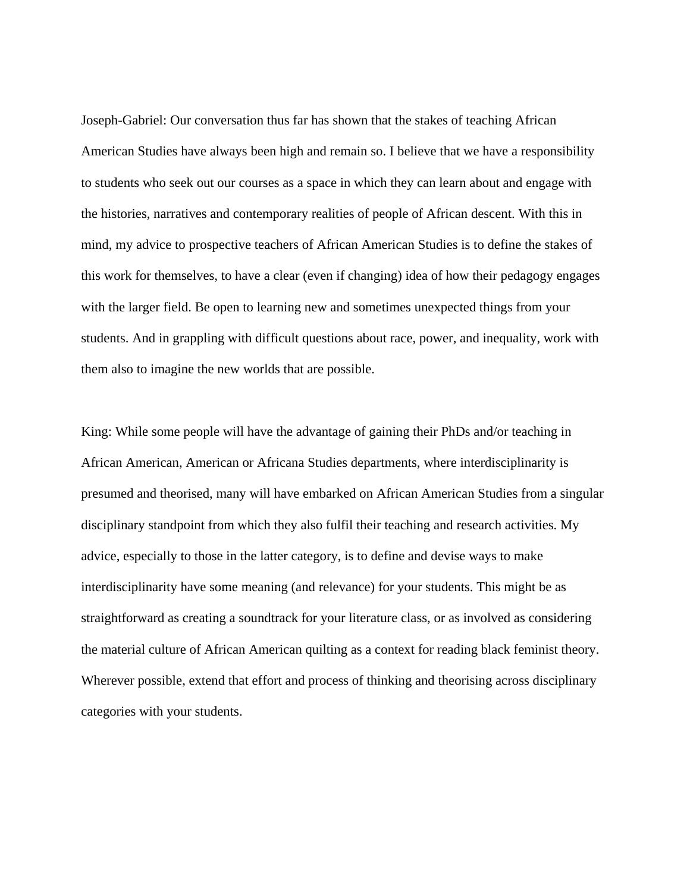Joseph-Gabriel: Our conversation thus far has shown that the stakes of teaching African American Studies have always been high and remain so. I believe that we have a responsibility to students who seek out our courses as a space in which they can learn about and engage with the histories, narratives and contemporary realities of people of African descent. With this in mind, my advice to prospective teachers of African American Studies is to define the stakes of this work for themselves, to have a clear (even if changing) idea of how their pedagogy engages with the larger field. Be open to learning new and sometimes unexpected things from your students. And in grappling with difficult questions about race, power, and inequality, work with them also to imagine the new worlds that are possible.

King: While some people will have the advantage of gaining their PhDs and/or teaching in African American, American or Africana Studies departments, where interdisciplinarity is presumed and theorised, many will have embarked on African American Studies from a singular disciplinary standpoint from which they also fulfil their teaching and research activities. My advice, especially to those in the latter category, is to define and devise ways to make interdisciplinarity have some meaning (and relevance) for your students. This might be as straightforward as creating a soundtrack for your literature class, or as involved as considering the material culture of African American quilting as a context for reading black feminist theory. Wherever possible, extend that effort and process of thinking and theorising across disciplinary categories with your students.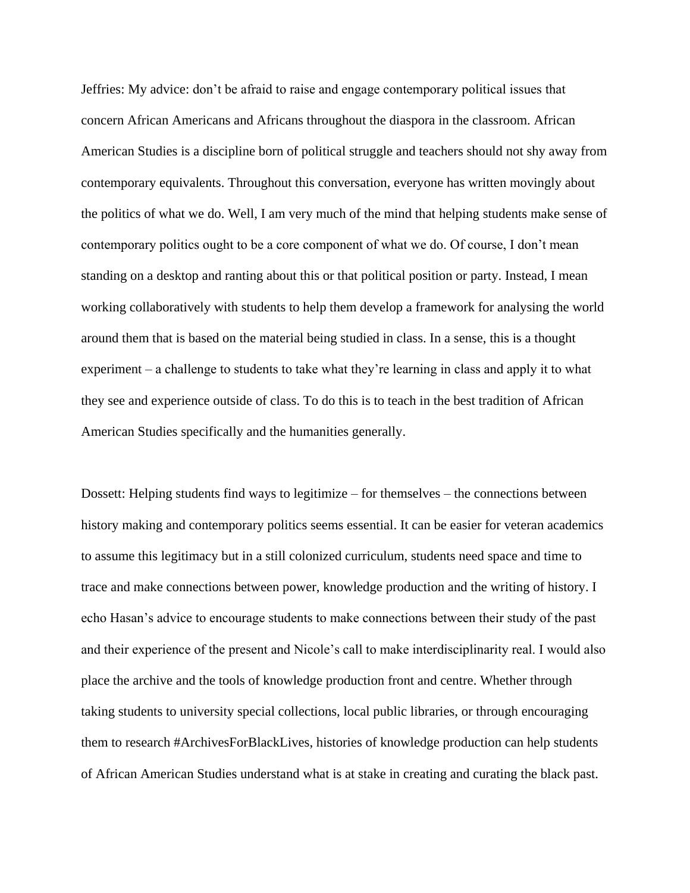Jeffries: My advice: don't be afraid to raise and engage contemporary political issues that concern African Americans and Africans throughout the diaspora in the classroom. African American Studies is a discipline born of political struggle and teachers should not shy away from contemporary equivalents. Throughout this conversation, everyone has written movingly about the politics of what we do. Well, I am very much of the mind that helping students make sense of contemporary politics ought to be a core component of what we do. Of course, I don't mean standing on a desktop and ranting about this or that political position or party. Instead, I mean working collaboratively with students to help them develop a framework for analysing the world around them that is based on the material being studied in class. In a sense, this is a thought experiment – a challenge to students to take what they're learning in class and apply it to what they see and experience outside of class. To do this is to teach in the best tradition of African American Studies specifically and the humanities generally.

Dossett: Helping students find ways to legitimize – for themselves – the connections between history making and contemporary politics seems essential. It can be easier for veteran academics to assume this legitimacy but in a still colonized curriculum, students need space and time to trace and make connections between power, knowledge production and the writing of history. I echo Hasan's advice to encourage students to make connections between their study of the past and their experience of the present and Nicole's call to make interdisciplinarity real. I would also place the archive and the tools of knowledge production front and centre. Whether through taking students to university special collections, local public libraries, or through encouraging them to research #ArchivesForBlackLives, histories of knowledge production can help students of African American Studies understand what is at stake in creating and curating the black past.